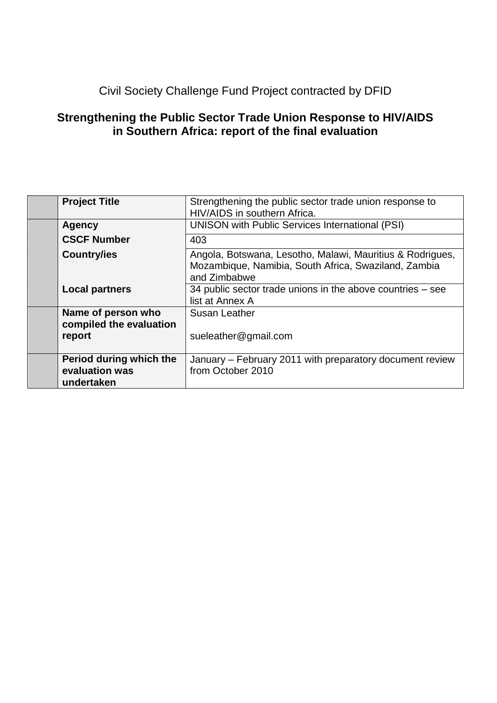# Civil Society Challenge Fund Project contracted by DFID

# **Strengthening the Public Sector Trade Union Response to HIV/AIDS in Southern Africa: report of the final evaluation**

| <b>Project Title</b>                                    | Strengthening the public sector trade union response to<br>HIV/AIDS in southern Africa.                                           |
|---------------------------------------------------------|-----------------------------------------------------------------------------------------------------------------------------------|
| <b>Agency</b>                                           | <b>UNISON with Public Services International (PSI)</b>                                                                            |
| <b>CSCF Number</b>                                      | 403                                                                                                                               |
| <b>Country/ies</b>                                      | Angola, Botswana, Lesotho, Malawi, Mauritius & Rodrigues,<br>Mozambique, Namibia, South Africa, Swaziland, Zambia<br>and Zimbabwe |
| <b>Local partners</b>                                   | 34 public sector trade unions in the above countries – see<br>list at Annex A                                                     |
| Name of person who<br>compiled the evaluation<br>report | Susan Leather<br>sueleather@gmail.com                                                                                             |
| Period during which the<br>evaluation was<br>undertaken | January - February 2011 with preparatory document review<br>from October 2010                                                     |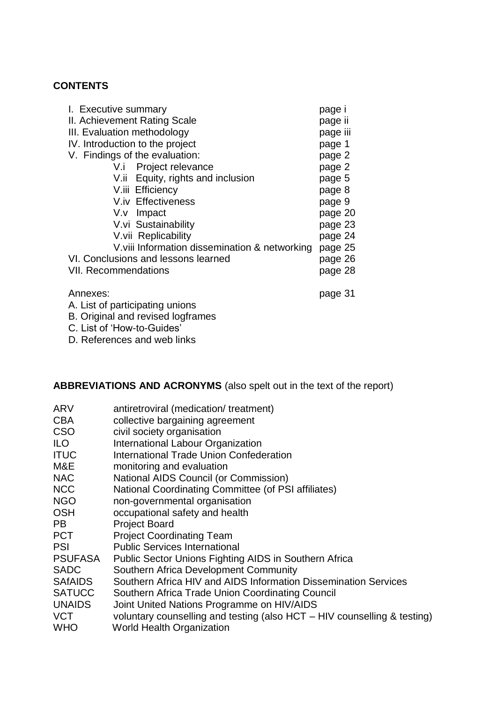### **CONTENTS**

| I. Executive summary                           | page i   |  |  |  |
|------------------------------------------------|----------|--|--|--|
| II. Achievement Rating Scale                   |          |  |  |  |
| III. Evaluation methodology                    | page iii |  |  |  |
| IV. Introduction to the project                | page 1   |  |  |  |
| V. Findings of the evaluation:                 | page 2   |  |  |  |
| V.i Project relevance                          | page 2   |  |  |  |
| V.ii Equity, rights and inclusion              | page 5   |  |  |  |
| V.iii Efficiency                               | page 8   |  |  |  |
| V.iv Effectiveness                             | page 9   |  |  |  |
| V.v Impact                                     | page 20  |  |  |  |
| V.vi Sustainability                            | page 23  |  |  |  |
| V.vii Replicability                            | page 24  |  |  |  |
| V. viii Information dissemination & networking | page 25  |  |  |  |
| VI. Conclusions and lessons learned            | page 26  |  |  |  |
| <b>VII. Recommendations</b>                    | page 28  |  |  |  |
|                                                |          |  |  |  |

Annexes: page 31

- A. List of participating unions
- B. Original and revised logframes
- C. List of "How-to-Guides"
- D. References and web links

# **ABBREVIATIONS AND ACRONYMS** (also spelt out in the text of the report)

| ARV            | antiretroviral (medication/treatment)                                    |
|----------------|--------------------------------------------------------------------------|
| <b>CBA</b>     | collective bargaining agreement                                          |
| <b>CSO</b>     | civil society organisation                                               |
| <b>ILO</b>     | International Labour Organization                                        |
| <b>ITUC</b>    | International Trade Union Confederation                                  |
| M&E            | monitoring and evaluation                                                |
| <b>NAC</b>     | National AIDS Council (or Commission)                                    |
| <b>NCC</b>     | National Coordinating Committee (of PSI affiliates)                      |
| <b>NGO</b>     | non-governmental organisation                                            |
| <b>OSH</b>     | occupational safety and health                                           |
| PB             | <b>Project Board</b>                                                     |
| <b>PCT</b>     | <b>Project Coordinating Team</b>                                         |
| <b>PSI</b>     | <b>Public Services International</b>                                     |
| <b>PSUFASA</b> | Public Sector Unions Fighting AIDS in Southern Africa                    |
| <b>SADC</b>    | Southern Africa Development Community                                    |
| <b>SAfAIDS</b> | Southern Africa HIV and AIDS Information Dissemination Services          |
| <b>SATUCC</b>  | Southern Africa Trade Union Coordinating Council                         |
| <b>UNAIDS</b>  | Joint United Nations Programme on HIV/AIDS                               |
| <b>VCT</b>     | voluntary counselling and testing (also HCT – HIV counselling & testing) |
| <b>WHO</b>     | <b>World Health Organization</b>                                         |
|                |                                                                          |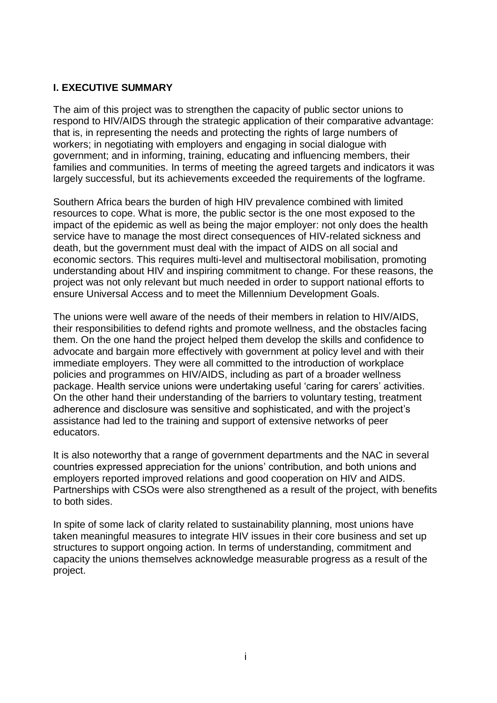## **I. EXECUTIVE SUMMARY**

The aim of this project was to strengthen the capacity of public sector unions to respond to HIV/AIDS through the strategic application of their comparative advantage: that is, in representing the needs and protecting the rights of large numbers of workers; in negotiating with employers and engaging in social dialogue with government; and in informing, training, educating and influencing members, their families and communities. In terms of meeting the agreed targets and indicators it was largely successful, but its achievements exceeded the requirements of the logframe.

Southern Africa bears the burden of high HIV prevalence combined with limited resources to cope. What is more, the public sector is the one most exposed to the impact of the epidemic as well as being the major employer: not only does the health service have to manage the most direct consequences of HIV-related sickness and death, but the government must deal with the impact of AIDS on all social and economic sectors. This requires multi-level and multisectoral mobilisation, promoting understanding about HIV and inspiring commitment to change. For these reasons, the project was not only relevant but much needed in order to support national efforts to ensure Universal Access and to meet the Millennium Development Goals.

The unions were well aware of the needs of their members in relation to HIV/AIDS, their responsibilities to defend rights and promote wellness, and the obstacles facing them. On the one hand the project helped them develop the skills and confidence to advocate and bargain more effectively with government at policy level and with their immediate employers. They were all committed to the introduction of workplace policies and programmes on HIV/AIDS, including as part of a broader wellness package. Health service unions were undertaking useful 'caring for carers' activities. On the other hand their understanding of the barriers to voluntary testing, treatment adherence and disclosure was sensitive and sophisticated, and with the project"s assistance had led to the training and support of extensive networks of peer educators.

It is also noteworthy that a range of government departments and the NAC in several countries expressed appreciation for the unions" contribution, and both unions and employers reported improved relations and good cooperation on HIV and AIDS. Partnerships with CSOs were also strengthened as a result of the project, with benefits to both sides.

In spite of some lack of clarity related to sustainability planning, most unions have taken meaningful measures to integrate HIV issues in their core business and set up structures to support ongoing action. In terms of understanding, commitment and capacity the unions themselves acknowledge measurable progress as a result of the project.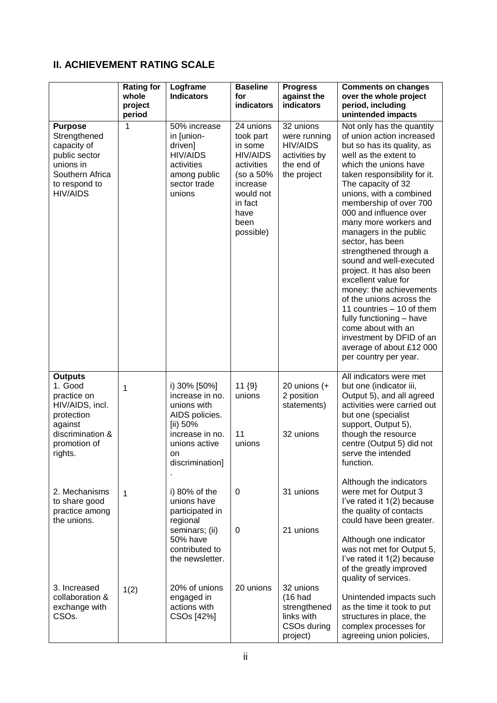# **II. ACHIEVEMENT RATING SCALE**

|                                                                                                                                     | <b>Rating for</b><br>whole<br>project<br>period | Logframe<br><b>Indicators</b>                                                                                                              | <b>Baseline</b><br>for<br>indicators                                                                                                             | <b>Progress</b><br>against the<br>indicators                                               | <b>Comments on changes</b><br>over the whole project<br>period, including<br>unintended impacts                                                                                                                                                                                                                                                                                                                                                                                                                                                                                                                                                                                    |
|-------------------------------------------------------------------------------------------------------------------------------------|-------------------------------------------------|--------------------------------------------------------------------------------------------------------------------------------------------|--------------------------------------------------------------------------------------------------------------------------------------------------|--------------------------------------------------------------------------------------------|------------------------------------------------------------------------------------------------------------------------------------------------------------------------------------------------------------------------------------------------------------------------------------------------------------------------------------------------------------------------------------------------------------------------------------------------------------------------------------------------------------------------------------------------------------------------------------------------------------------------------------------------------------------------------------|
| <b>Purpose</b><br>Strengthened<br>capacity of<br>public sector<br>unions in<br>Southern Africa<br>to respond to<br><b>HIV/AIDS</b>  | 1                                               | 50% increase<br>in [union-<br>driven]<br><b>HIV/AIDS</b><br>activities<br>among public<br>sector trade<br>unions                           | 24 unions<br>took part<br>in some<br><b>HIV/AIDS</b><br>activities<br>(so a 50%<br>increase<br>would not<br>in fact<br>have<br>been<br>possible) | 32 unions<br>were running<br><b>HIV/AIDS</b><br>activities by<br>the end of<br>the project | Not only has the quantity<br>of union action increased<br>but so has its quality, as<br>well as the extent to<br>which the unions have<br>taken responsibility for it.<br>The capacity of 32<br>unions, with a combined<br>membership of over 700<br>000 and influence over<br>many more workers and<br>managers in the public<br>sector, has been<br>strengthened through a<br>sound and well-executed<br>project. It has also been<br>excellent value for<br>money: the achievements<br>of the unions across the<br>11 countries - 10 of them<br>fully functioning - have<br>come about with an<br>investment by DFID of an<br>average of about £12 000<br>per country per year. |
| <b>Outputs</b><br>1. Good<br>practice on<br>HIV/AIDS, incl.<br>protection<br>against<br>discrimination &<br>promotion of<br>rights. | 1                                               | i) 30% [50%]<br>increase in no.<br>unions with<br>AIDS policies.<br>[ii) 50%<br>increase in no.<br>unions active<br>on.<br>discrimination] | 11 $\{9\}$<br>unions<br>11<br>unions                                                                                                             | 20 unions $(+$<br>2 position<br>statements)<br>32 unions                                   | All indicators were met<br>but one (indicator iii,<br>Output 5), and all agreed<br>activities were carried out<br>but one (specialist<br>support, Output 5),<br>though the resource<br>centre (Output 5) did not<br>serve the intended<br>function.                                                                                                                                                                                                                                                                                                                                                                                                                                |
| 2. Mechanisms<br>to share good<br>practice among<br>the unions.                                                                     | 1                                               | i) 80% of the<br>unions have<br>participated in<br>regional<br>seminars; (ii)<br>50% have<br>contributed to<br>the newsletter.             | 0<br>0                                                                                                                                           | 31 unions<br>21 unions                                                                     | Although the indicators<br>were met for Output 3<br>I've rated it 1(2) because<br>the quality of contacts<br>could have been greater.<br>Although one indicator<br>was not met for Output 5,<br>I've rated it 1(2) because<br>of the greatly improved                                                                                                                                                                                                                                                                                                                                                                                                                              |
| 3. Increased<br>collaboration &<br>exchange with<br>CSO <sub>s.</sub>                                                               | 1(2)                                            | 20% of unions<br>engaged in<br>actions with<br>CSOs [42%]                                                                                  | 20 unions                                                                                                                                        | 32 unions<br>$(16$ had<br>strengthened<br>links with<br>CSOs during<br>project)            | quality of services.<br>Unintended impacts such<br>as the time it took to put<br>structures in place, the<br>complex processes for<br>agreeing union policies,                                                                                                                                                                                                                                                                                                                                                                                                                                                                                                                     |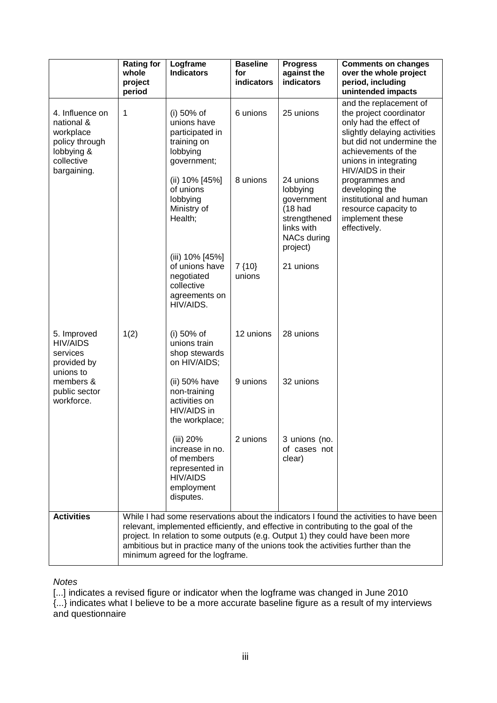|                                                                                                         | <b>Rating for</b><br>whole<br>project<br>period | Logframe<br><b>Indicators</b>                                                                              | <b>Baseline</b><br>for<br>indicators | <b>Progress</b><br>against the<br>indicators                                                               | <b>Comments on changes</b><br>over the whole project<br>period, including<br>unintended impacts                                                                                                                                                                                                                                                      |
|---------------------------------------------------------------------------------------------------------|-------------------------------------------------|------------------------------------------------------------------------------------------------------------|--------------------------------------|------------------------------------------------------------------------------------------------------------|------------------------------------------------------------------------------------------------------------------------------------------------------------------------------------------------------------------------------------------------------------------------------------------------------------------------------------------------------|
| 4. Influence on<br>national &<br>workplace<br>policy through<br>lobbying &<br>collective<br>bargaining. | 1                                               | (i) 50% of<br>unions have<br>participated in<br>training on<br>lobbying<br>government;                     | 6 unions                             | 25 unions                                                                                                  | and the replacement of<br>the project coordinator<br>only had the effect of<br>slightly delaying activities<br>but did not undermine the<br>achievements of the<br>unions in integrating<br>HIV/AIDS in their                                                                                                                                        |
|                                                                                                         |                                                 | (ii) 10% [45%]<br>of unions<br>lobbying<br>Ministry of<br>Health;                                          | 8 unions                             | 24 unions<br>lobbying<br>government<br>$(18)$ had<br>strengthened<br>links with<br>NACs during<br>project) | programmes and<br>developing the<br>institutional and human<br>resource capacity to<br>implement these<br>effectively.                                                                                                                                                                                                                               |
|                                                                                                         |                                                 | (iii) 10% [45%]<br>of unions have<br>negotiated<br>collective<br>agreements on<br>HIV/AIDS.                | $7\{10\}$<br>unions                  | 21 unions                                                                                                  |                                                                                                                                                                                                                                                                                                                                                      |
| 5. Improved<br><b>HIV/AIDS</b><br>services<br>provided by<br>unions to                                  | 1(2)                                            | (i) 50% of<br>unions train<br>shop stewards<br>on HIV/AIDS;                                                | 12 unions                            | 28 unions                                                                                                  |                                                                                                                                                                                                                                                                                                                                                      |
| members &<br>public sector<br>workforce.                                                                |                                                 | (ii) 50% have<br>non-training<br>activities on<br>HIV/AIDS in<br>the workplace;                            | 9 unions                             | 32 unions                                                                                                  |                                                                                                                                                                                                                                                                                                                                                      |
|                                                                                                         |                                                 | (iii) 20%<br>increase in no.<br>of members<br>represented in<br><b>HIV/AIDS</b><br>employment<br>disputes. | 2 unions                             | 3 unions (no.<br>of cases not<br>clear)                                                                    |                                                                                                                                                                                                                                                                                                                                                      |
| <b>Activities</b>                                                                                       |                                                 | minimum agreed for the logframe.                                                                           |                                      |                                                                                                            | While I had some reservations about the indicators I found the activities to have been<br>relevant, implemented efficiently, and effective in contributing to the goal of the<br>project. In relation to some outputs (e.g. Output 1) they could have been more<br>ambitious but in practice many of the unions took the activities further than the |

#### *Notes*

[...] indicates a revised figure or indicator when the logframe was changed in June 2010 {...} indicates what I believe to be a more accurate baseline figure as a result of my interviews and questionnaire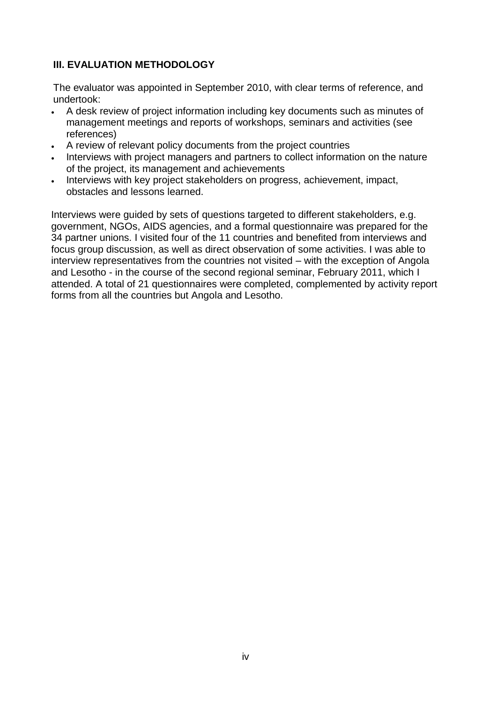## **III. EVALUATION METHODOLOGY**

The evaluator was appointed in September 2010, with clear terms of reference, and undertook:

- A desk review of project information including key documents such as minutes of management meetings and reports of workshops, seminars and activities (see references)
- A review of relevant policy documents from the project countries
- Interviews with project managers and partners to collect information on the nature of the project, its management and achievements
- Interviews with key project stakeholders on progress, achievement, impact, obstacles and lessons learned.

Interviews were guided by sets of questions targeted to different stakeholders, e.g. government, NGOs, AIDS agencies, and a formal questionnaire was prepared for the 34 partner unions. I visited four of the 11 countries and benefited from interviews and focus group discussion, as well as direct observation of some activities. I was able to interview representatives from the countries not visited – with the exception of Angola and Lesotho - in the course of the second regional seminar, February 2011, which I attended. A total of 21 questionnaires were completed, complemented by activity report forms from all the countries but Angola and Lesotho.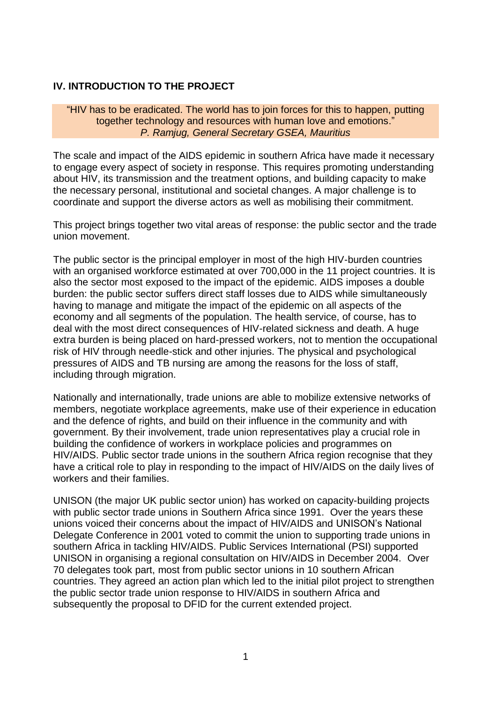## **IV. INTRODUCTION TO THE PROJECT**

"HIV has to be eradicated. The world has to join forces for this to happen, putting together technology and resources with human love and emotions." *P. Ramjug, General Secretary GSEA, Mauritius* 

The scale and impact of the AIDS epidemic in southern Africa have made it necessary to engage every aspect of society in response. This requires promoting understanding about HIV, its transmission and the treatment options, and building capacity to make the necessary personal, institutional and societal changes. A major challenge is to coordinate and support the diverse actors as well as mobilising their commitment.

This project brings together two vital areas of response: the public sector and the trade union movement.

The public sector is the principal employer in most of the high HIV-burden countries with an organised workforce estimated at over 700,000 in the 11 project countries. It is also the sector most exposed to the impact of the epidemic. AIDS imposes a double burden: the public sector suffers direct staff losses due to AIDS while simultaneously having to manage and mitigate the impact of the epidemic on all aspects of the economy and all segments of the population. The health service, of course, has to deal with the most direct consequences of HIV-related sickness and death. A huge extra burden is being placed on hard-pressed workers, not to mention the occupational risk of HIV through needle-stick and other injuries. The physical and psychological pressures of AIDS and TB nursing are among the reasons for the loss of staff, including through migration.

Nationally and internationally, trade unions are able to mobilize extensive networks of members, negotiate workplace agreements, make use of their experience in education and the defence of rights, and build on their influence in the community and with government. By their involvement, trade union representatives play a crucial role in building the confidence of workers in workplace policies and programmes on HIV/AIDS. Public sector trade unions in the southern Africa region recognise that they have a critical role to play in responding to the impact of HIV/AIDS on the daily lives of workers and their families.

UNISON (the major UK public sector union) has worked on capacity-building projects with public sector trade unions in Southern Africa since 1991. Over the years these unions voiced their concerns about the impact of HIV/AIDS and UNISON"s National Delegate Conference in 2001 voted to commit the union to supporting trade unions in southern Africa in tackling HIV/AIDS. Public Services International (PSI) supported UNISON in organising a regional consultation on HIV/AIDS in December 2004. Over 70 delegates took part, most from public sector unions in 10 southern African countries. They agreed an action plan which led to the initial pilot project to strengthen the public sector trade union response to HIV/AIDS in southern Africa and subsequently the proposal to DFID for the current extended project.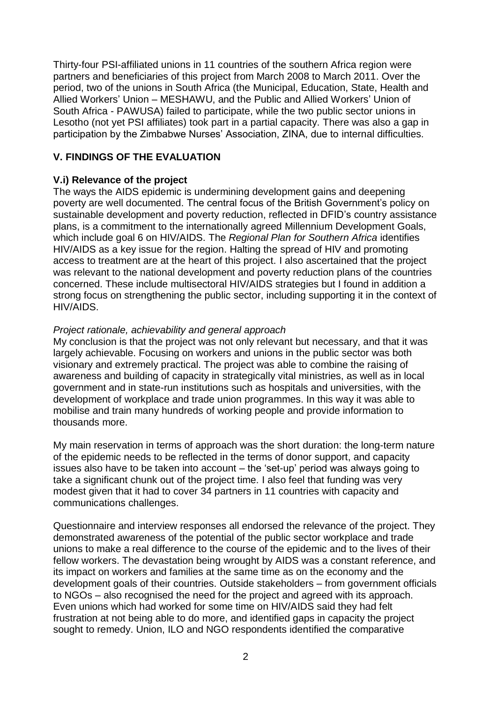Thirty-four PSI-affiliated unions in 11 countries of the southern Africa region were partners and beneficiaries of this project from March 2008 to March 2011. Over the period, two of the unions in South Africa (the Municipal, Education, State, Health and Allied Workers" Union – MESHAWU, and the Public and Allied Workers" Union of South Africa - PAWUSA) failed to participate, while the two public sector unions in Lesotho (not yet PSI affiliates) took part in a partial capacity. There was also a gap in participation by the Zimbabwe Nurses" Association, ZINA, due to internal difficulties.

## **V. FINDINGS OF THE EVALUATION**

### **V.i) Relevance of the project**

The ways the AIDS epidemic is undermining development gains and deepening poverty are well documented. The central focus of the British Government"s policy on sustainable development and poverty reduction, reflected in DFID"s country assistance plans, is a commitment to the internationally agreed Millennium Development Goals, which include goal 6 on HIV/AIDS. The *Regional Plan for Southern Africa* identifies HIV/AIDS as a key issue for the region. Halting the spread of HIV and promoting access to treatment are at the heart of this project. I also ascertained that the project was relevant to the national development and poverty reduction plans of the countries concerned. These include multisectoral HIV/AIDS strategies but I found in addition a strong focus on strengthening the public sector, including supporting it in the context of HIV/AIDS.

### *Project rationale, achievability and general approach*

My conclusion is that the project was not only relevant but necessary, and that it was largely achievable. Focusing on workers and unions in the public sector was both visionary and extremely practical. The project was able to combine the raising of awareness and building of capacity in strategically vital ministries, as well as in local government and in state-run institutions such as hospitals and universities, with the development of workplace and trade union programmes. In this way it was able to mobilise and train many hundreds of working people and provide information to thousands more.

My main reservation in terms of approach was the short duration: the long-term nature of the epidemic needs to be reflected in the terms of donor support, and capacity issues also have to be taken into account – the "set-up" period was always going to take a significant chunk out of the project time. I also feel that funding was very modest given that it had to cover 34 partners in 11 countries with capacity and communications challenges.

Questionnaire and interview responses all endorsed the relevance of the project. They demonstrated awareness of the potential of the public sector workplace and trade unions to make a real difference to the course of the epidemic and to the lives of their fellow workers. The devastation being wrought by AIDS was a constant reference, and its impact on workers and families at the same time as on the economy and the development goals of their countries. Outside stakeholders – from government officials to NGOs – also recognised the need for the project and agreed with its approach. Even unions which had worked for some time on HIV/AIDS said they had felt frustration at not being able to do more, and identified gaps in capacity the project sought to remedy. Union, ILO and NGO respondents identified the comparative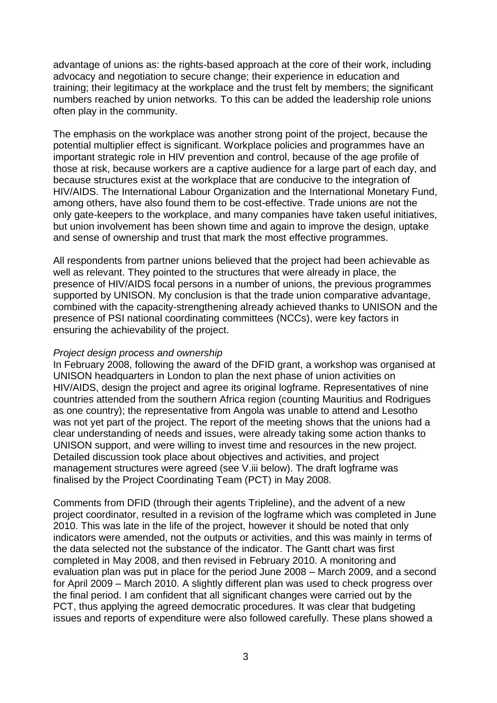advantage of unions as: the rights-based approach at the core of their work, including advocacy and negotiation to secure change; their experience in education and training; their legitimacy at the workplace and the trust felt by members; the significant numbers reached by union networks. To this can be added the leadership role unions often play in the community.

The emphasis on the workplace was another strong point of the project, because the potential multiplier effect is significant. Workplace policies and programmes have an important strategic role in HIV prevention and control, because of the age profile of those at risk, because workers are a captive audience for a large part of each day, and because structures exist at the workplace that are conducive to the integration of HIV/AIDS. The International Labour Organization and the International Monetary Fund, among others, have also found them to be cost-effective. Trade unions are not the only gate-keepers to the workplace, and many companies have taken useful initiatives, but union involvement has been shown time and again to improve the design, uptake and sense of ownership and trust that mark the most effective programmes.

All respondents from partner unions believed that the project had been achievable as well as relevant. They pointed to the structures that were already in place, the presence of HIV/AIDS focal persons in a number of unions, the previous programmes supported by UNISON. My conclusion is that the trade union comparative advantage, combined with the capacity-strengthening already achieved thanks to UNISON and the presence of PSI national coordinating committees (NCCs), were key factors in ensuring the achievability of the project.

#### *Project design process and ownership*

In February 2008, following the award of the DFID grant, a workshop was organised at UNISON headquarters in London to plan the next phase of union activities on HIV/AIDS, design the project and agree its original logframe. Representatives of nine countries attended from the southern Africa region (counting Mauritius and Rodrigues as one country); the representative from Angola was unable to attend and Lesotho was not yet part of the project. The report of the meeting shows that the unions had a clear understanding of needs and issues, were already taking some action thanks to UNISON support, and were willing to invest time and resources in the new project. Detailed discussion took place about objectives and activities, and project management structures were agreed (see V.iii below). The draft logframe was finalised by the Project Coordinating Team (PCT) in May 2008.

Comments from DFID (through their agents Tripleline), and the advent of a new project coordinator, resulted in a revision of the logframe which was completed in June 2010. This was late in the life of the project, however it should be noted that only indicators were amended, not the outputs or activities, and this was mainly in terms of the data selected not the substance of the indicator. The Gantt chart was first completed in May 2008, and then revised in February 2010. A monitoring and evaluation plan was put in place for the period June 2008 – March 2009, and a second for April 2009 – March 2010. A slightly different plan was used to check progress over the final period. I am confident that all significant changes were carried out by the PCT, thus applying the agreed democratic procedures. It was clear that budgeting issues and reports of expenditure were also followed carefully. These plans showed a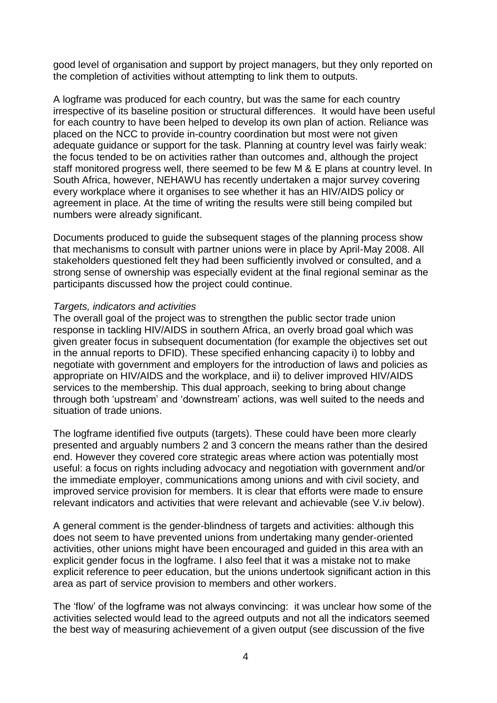good level of organisation and support by project managers, but they only reported on the completion of activities without attempting to link them to outputs.

A logframe was produced for each country, but was the same for each country irrespective of its baseline position or structural differences. It would have been useful for each country to have been helped to develop its own plan of action. Reliance was placed on the NCC to provide in-country coordination but most were not given adequate guidance or support for the task. Planning at country level was fairly weak: the focus tended to be on activities rather than outcomes and, although the project staff monitored progress well, there seemed to be few M & E plans at country level. In South Africa, however, NEHAWU has recently undertaken a major survey covering every workplace where it organises to see whether it has an HIV/AIDS policy or agreement in place. At the time of writing the results were still being compiled but numbers were already significant.

Documents produced to guide the subsequent stages of the planning process show that mechanisms to consult with partner unions were in place by April-May 2008. All stakeholders questioned felt they had been sufficiently involved or consulted, and a strong sense of ownership was especially evident at the final regional seminar as the participants discussed how the project could continue.

#### *Targets, indicators and activities*

The overall goal of the project was to strengthen the public sector trade union response in tackling HIV/AIDS in southern Africa, an overly broad goal which was given greater focus in subsequent documentation (for example the objectives set out in the annual reports to DFID). These specified enhancing capacity i) to lobby and negotiate with government and employers for the introduction of laws and policies as appropriate on HIV/AIDS and the workplace, and ii) to deliver improved HIV/AIDS services to the membership. This dual approach, seeking to bring about change through both "upstream" and "downstream" actions, was well suited to the needs and situation of trade unions.

The logframe identified five outputs (targets). These could have been more clearly presented and arguably numbers 2 and 3 concern the means rather than the desired end. However they covered core strategic areas where action was potentially most useful: a focus on rights including advocacy and negotiation with government and/or the immediate employer, communications among unions and with civil society, and improved service provision for members. It is clear that efforts were made to ensure relevant indicators and activities that were relevant and achievable (see V.iv below).

A general comment is the gender-blindness of targets and activities: although this does not seem to have prevented unions from undertaking many gender-oriented activities, other unions might have been encouraged and guided in this area with an explicit gender focus in the logframe. I also feel that it was a mistake not to make explicit reference to peer education, but the unions undertook significant action in this area as part of service provision to members and other workers.

The "flow" of the logframe was not always convincing: it was unclear how some of the activities selected would lead to the agreed outputs and not all the indicators seemed the best way of measuring achievement of a given output (see discussion of the five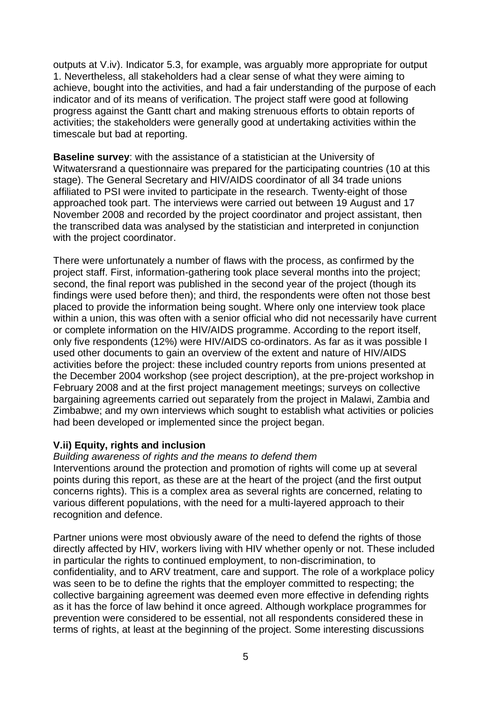outputs at V.iv). Indicator 5.3, for example, was arguably more appropriate for output 1. Nevertheless, all stakeholders had a clear sense of what they were aiming to achieve, bought into the activities, and had a fair understanding of the purpose of each indicator and of its means of verification. The project staff were good at following progress against the Gantt chart and making strenuous efforts to obtain reports of activities; the stakeholders were generally good at undertaking activities within the timescale but bad at reporting.

**Baseline survey**: with the assistance of a statistician at the University of Witwatersrand a questionnaire was prepared for the participating countries (10 at this stage). The General Secretary and HIV/AIDS coordinator of all 34 trade unions affiliated to PSI were invited to participate in the research. Twenty-eight of those approached took part. The interviews were carried out between 19 August and 17 November 2008 and recorded by the project coordinator and project assistant, then the transcribed data was analysed by the statistician and interpreted in conjunction with the project coordinator.

There were unfortunately a number of flaws with the process, as confirmed by the project staff. First, information-gathering took place several months into the project; second, the final report was published in the second year of the project (though its findings were used before then); and third, the respondents were often not those best placed to provide the information being sought. Where only one interview took place within a union, this was often with a senior official who did not necessarily have current or complete information on the HIV/AIDS programme. According to the report itself, only five respondents (12%) were HIV/AIDS co-ordinators. As far as it was possible I used other documents to gain an overview of the extent and nature of HIV/AIDS activities before the project: these included country reports from unions presented at the December 2004 workshop (see project description), at the pre-project workshop in February 2008 and at the first project management meetings; surveys on collective bargaining agreements carried out separately from the project in Malawi, Zambia and Zimbabwe; and my own interviews which sought to establish what activities or policies had been developed or implemented since the project began.

### **V.ii) Equity, rights and inclusion**

#### *Building awareness of rights and the means to defend them*

Interventions around the protection and promotion of rights will come up at several points during this report, as these are at the heart of the project (and the first output concerns rights). This is a complex area as several rights are concerned, relating to various different populations, with the need for a multi-layered approach to their recognition and defence.

Partner unions were most obviously aware of the need to defend the rights of those directly affected by HIV, workers living with HIV whether openly or not. These included in particular the rights to continued employment, to non-discrimination, to confidentiality, and to ARV treatment, care and support. The role of a workplace policy was seen to be to define the rights that the employer committed to respecting; the collective bargaining agreement was deemed even more effective in defending rights as it has the force of law behind it once agreed. Although workplace programmes for prevention were considered to be essential, not all respondents considered these in terms of rights, at least at the beginning of the project. Some interesting discussions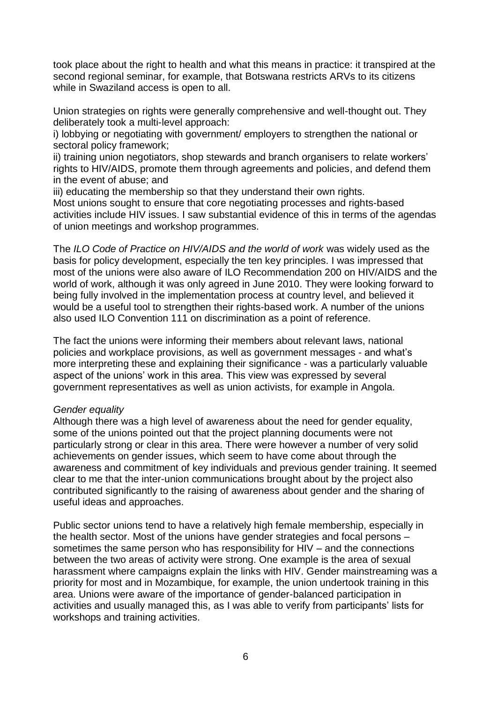took place about the right to health and what this means in practice: it transpired at the second regional seminar, for example, that Botswana restricts ARVs to its citizens while in Swaziland access is open to all.

Union strategies on rights were generally comprehensive and well-thought out. They deliberately took a multi-level approach:

i) lobbying or negotiating with government/ employers to strengthen the national or sectoral policy framework;

ii) training union negotiators, shop stewards and branch organisers to relate workers' rights to HIV/AIDS, promote them through agreements and policies, and defend them in the event of abuse; and

iii) educating the membership so that they understand their own rights.

Most unions sought to ensure that core negotiating processes and rights-based activities include HIV issues. I saw substantial evidence of this in terms of the agendas of union meetings and workshop programmes.

The *ILO Code of Practice on HIV/AIDS and the world of work* was widely used as the basis for policy development, especially the ten key principles. I was impressed that most of the unions were also aware of ILO Recommendation 200 on HIV/AIDS and the world of work, although it was only agreed in June 2010. They were looking forward to being fully involved in the implementation process at country level, and believed it would be a useful tool to strengthen their rights-based work. A number of the unions also used ILO Convention 111 on discrimination as a point of reference.

The fact the unions were informing their members about relevant laws, national policies and workplace provisions, as well as government messages - and what"s more interpreting these and explaining their significance - was a particularly valuable aspect of the unions' work in this area. This view was expressed by several government representatives as well as union activists, for example in Angola.

#### *Gender equality*

Although there was a high level of awareness about the need for gender equality, some of the unions pointed out that the project planning documents were not particularly strong or clear in this area. There were however a number of very solid achievements on gender issues, which seem to have come about through the awareness and commitment of key individuals and previous gender training. It seemed clear to me that the inter-union communications brought about by the project also contributed significantly to the raising of awareness about gender and the sharing of useful ideas and approaches.

Public sector unions tend to have a relatively high female membership, especially in the health sector. Most of the unions have gender strategies and focal persons – sometimes the same person who has responsibility for HIV – and the connections between the two areas of activity were strong. One example is the area of sexual harassment where campaigns explain the links with HIV. Gender mainstreaming was a priority for most and in Mozambique, for example, the union undertook training in this area. Unions were aware of the importance of gender-balanced participation in activities and usually managed this, as I was able to verify from participants' lists for workshops and training activities.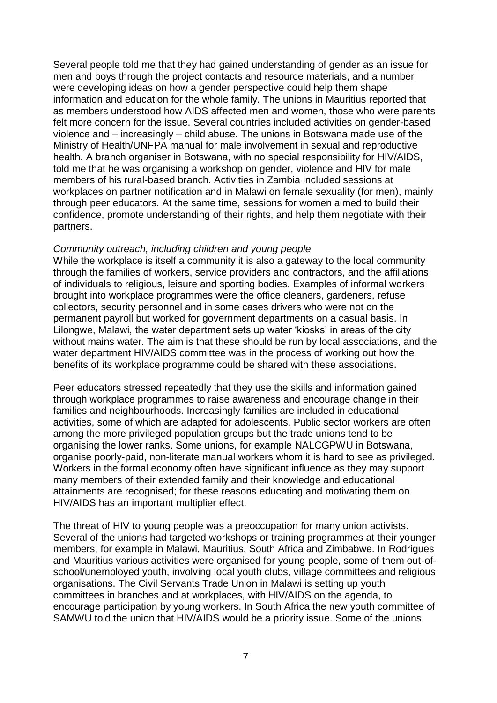Several people told me that they had gained understanding of gender as an issue for men and boys through the project contacts and resource materials, and a number were developing ideas on how a gender perspective could help them shape information and education for the whole family. The unions in Mauritius reported that as members understood how AIDS affected men and women, those who were parents felt more concern for the issue. Several countries included activities on gender-based violence and – increasingly – child abuse. The unions in Botswana made use of the Ministry of Health/UNFPA manual for male involvement in sexual and reproductive health. A branch organiser in Botswana, with no special responsibility for HIV/AIDS, told me that he was organising a workshop on gender, violence and HIV for male members of his rural-based branch. Activities in Zambia included sessions at workplaces on partner notification and in Malawi on female sexuality (for men), mainly through peer educators. At the same time, sessions for women aimed to build their confidence, promote understanding of their rights, and help them negotiate with their partners.

#### *Community outreach, including children and young people*

While the workplace is itself a community it is also a gateway to the local community through the families of workers, service providers and contractors, and the affiliations of individuals to religious, leisure and sporting bodies. Examples of informal workers brought into workplace programmes were the office cleaners, gardeners, refuse collectors, security personnel and in some cases drivers who were not on the permanent payroll but worked for government departments on a casual basis. In Lilongwe, Malawi, the water department sets up water "kiosks" in areas of the city without mains water. The aim is that these should be run by local associations, and the water department HIV/AIDS committee was in the process of working out how the benefits of its workplace programme could be shared with these associations.

Peer educators stressed repeatedly that they use the skills and information gained through workplace programmes to raise awareness and encourage change in their families and neighbourhoods. Increasingly families are included in educational activities, some of which are adapted for adolescents. Public sector workers are often among the more privileged population groups but the trade unions tend to be organising the lower ranks. Some unions, for example NALCGPWU in Botswana, organise poorly-paid, non-literate manual workers whom it is hard to see as privileged. Workers in the formal economy often have significant influence as they may support many members of their extended family and their knowledge and educational attainments are recognised; for these reasons educating and motivating them on HIV/AIDS has an important multiplier effect.

The threat of HIV to young people was a preoccupation for many union activists. Several of the unions had targeted workshops or training programmes at their younger members, for example in Malawi, Mauritius, South Africa and Zimbabwe. In Rodrigues and Mauritius various activities were organised for young people, some of them out-ofschool/unemployed youth, involving local youth clubs, village committees and religious organisations. The Civil Servants Trade Union in Malawi is setting up youth committees in branches and at workplaces, with HIV/AIDS on the agenda, to encourage participation by young workers. In South Africa the new youth committee of SAMWU told the union that HIV/AIDS would be a priority issue. Some of the unions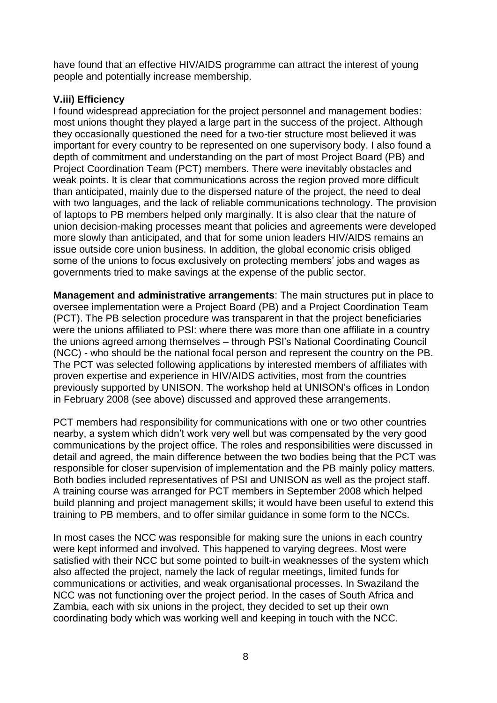have found that an effective HIV/AIDS programme can attract the interest of young people and potentially increase membership.

## **V.iii) Efficiency**

I found widespread appreciation for the project personnel and management bodies: most unions thought they played a large part in the success of the project. Although they occasionally questioned the need for a two-tier structure most believed it was important for every country to be represented on one supervisory body. I also found a depth of commitment and understanding on the part of most Project Board (PB) and Project Coordination Team (PCT) members. There were inevitably obstacles and weak points. It is clear that communications across the region proved more difficult than anticipated, mainly due to the dispersed nature of the project, the need to deal with two languages, and the lack of reliable communications technology. The provision of laptops to PB members helped only marginally. It is also clear that the nature of union decision-making processes meant that policies and agreements were developed more slowly than anticipated, and that for some union leaders HIV/AIDS remains an issue outside core union business. In addition, the global economic crisis obliged some of the unions to focus exclusively on protecting members' jobs and wages as governments tried to make savings at the expense of the public sector.

**Management and administrative arrangements**: The main structures put in place to oversee implementation were a Project Board (PB) and a Project Coordination Team (PCT). The PB selection procedure was transparent in that the project beneficiaries were the unions affiliated to PSI: where there was more than one affiliate in a country the unions agreed among themselves – through PSI"s National Coordinating Council (NCC) - who should be the national focal person and represent the country on the PB. The PCT was selected following applications by interested members of affiliates with proven expertise and experience in HIV/AIDS activities, most from the countries previously supported by UNISON. The workshop held at UNISON"s offices in London in February 2008 (see above) discussed and approved these arrangements.

PCT members had responsibility for communications with one or two other countries nearby, a system which didn"t work very well but was compensated by the very good communications by the project office. The roles and responsibilities were discussed in detail and agreed, the main difference between the two bodies being that the PCT was responsible for closer supervision of implementation and the PB mainly policy matters. Both bodies included representatives of PSI and UNISON as well as the project staff. A training course was arranged for PCT members in September 2008 which helped build planning and project management skills; it would have been useful to extend this training to PB members, and to offer similar guidance in some form to the NCCs.

In most cases the NCC was responsible for making sure the unions in each country were kept informed and involved. This happened to varying degrees. Most were satisfied with their NCC but some pointed to built-in weaknesses of the system which also affected the project, namely the lack of regular meetings, limited funds for communications or activities, and weak organisational processes. In Swaziland the NCC was not functioning over the project period. In the cases of South Africa and Zambia, each with six unions in the project, they decided to set up their own coordinating body which was working well and keeping in touch with the NCC.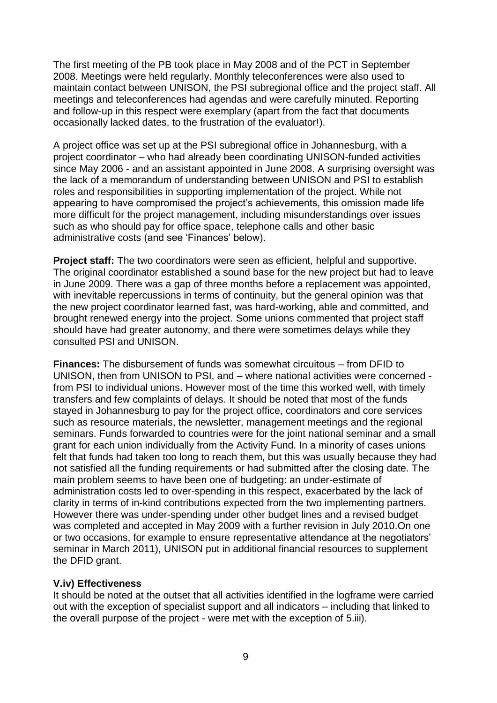The first meeting of the PB took place in May 2008 and of the PCT in September 2008. Meetings were held regularly. Monthly teleconferences were also used to maintain contact between UNISON, the PSI subregional office and the project staff. All meetings and teleconferences had agendas and were carefully minuted. Reporting and follow-up in this respect were exemplary (apart from the fact that documents occasionally lacked dates, to the frustration of the evaluator!).

A project office was set up at the PSI subregional office in Johannesburg, with a project coordinator – who had already been coordinating UNISON-funded activities since May 2006 - and an assistant appointed in June 2008. A surprising oversight was the lack of a memorandum of understanding between UNISON and PSI to establish roles and responsibilities in supporting implementation of the project. While not appearing to have compromised the project's achievements, this omission made life more difficult for the project management, including misunderstandings over issues such as who should pay for office space, telephone calls and other basic administrative costs (and see "Finances" below).

**Project staff:** The two coordinators were seen as efficient, helpful and supportive. The original coordinator established a sound base for the new project but had to leave in June 2009. There was a gap of three months before a replacement was appointed, with inevitable repercussions in terms of continuity, but the general opinion was that the new project coordinator learned fast, was hard-working, able and committed, and brought renewed energy into the project. Some unions commented that project staff should have had greater autonomy, and there were sometimes delays while they consulted PSI and UNISON.

**Finances:** The disbursement of funds was somewhat circuitous – from DFID to UNISON, then from UNISON to PSI, and – where national activities were concerned from PSI to individual unions. However most of the time this worked well, with timely transfers and few complaints of delays. It should be noted that most of the funds stayed in Johannesburg to pay for the project office, coordinators and core services such as resource materials, the newsletter, management meetings and the regional seminars. Funds forwarded to countries were for the joint national seminar and a small grant for each union individually from the Activity Fund. In a minority of cases unions felt that funds had taken too long to reach them, but this was usually because they had not satisfied all the funding requirements or had submitted after the closing date. The main problem seems to have been one of budgeting: an under-estimate of administration costs led to over-spending in this respect, exacerbated by the lack of clarity in terms of in-kind contributions expected from the two implementing partners. However there was under-spending under other budget lines and a revised budget was completed and accepted in May 2009 with a further revision in July 2010.On one or two occasions, for example to ensure representative attendance at the negotiators" seminar in March 2011), UNISON put in additional financial resources to supplement the DFID grant.

### **V.iv) Effectiveness**

It should be noted at the outset that all activities identified in the logframe were carried out with the exception of specialist support and all indicators – including that linked to the overall purpose of the project - were met with the exception of 5.iii).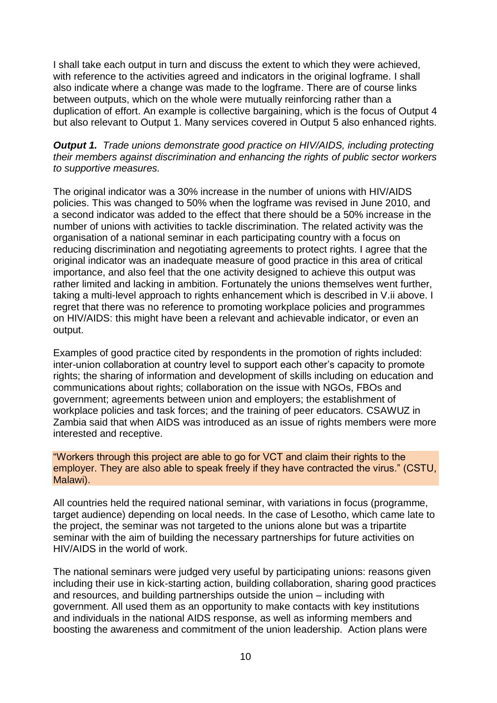I shall take each output in turn and discuss the extent to which they were achieved, with reference to the activities agreed and indicators in the original logframe. I shall also indicate where a change was made to the logframe. There are of course links between outputs, which on the whole were mutually reinforcing rather than a duplication of effort. An example is collective bargaining, which is the focus of Output 4 but also relevant to Output 1. Many services covered in Output 5 also enhanced rights.

#### *Output 1. Trade unions demonstrate good practice on HIV/AIDS, including protecting their members against discrimination and enhancing the rights of public sector workers to supportive measures.*

The original indicator was a 30% increase in the number of unions with HIV/AIDS policies. This was changed to 50% when the logframe was revised in June 2010, and a second indicator was added to the effect that there should be a 50% increase in the number of unions with activities to tackle discrimination. The related activity was the organisation of a national seminar in each participating country with a focus on reducing discrimination and negotiating agreements to protect rights. I agree that the original indicator was an inadequate measure of good practice in this area of critical importance, and also feel that the one activity designed to achieve this output was rather limited and lacking in ambition. Fortunately the unions themselves went further, taking a multi-level approach to rights enhancement which is described in V.ii above. I regret that there was no reference to promoting workplace policies and programmes on HIV/AIDS: this might have been a relevant and achievable indicator, or even an output.

Examples of good practice cited by respondents in the promotion of rights included: inter-union collaboration at country level to support each other"s capacity to promote rights; the sharing of information and development of skills including on education and communications about rights; collaboration on the issue with NGOs, FBOs and government; agreements between union and employers; the establishment of workplace policies and task forces; and the training of peer educators. CSAWUZ in Zambia said that when AIDS was introduced as an issue of rights members were more interested and receptive.

#### "Workers through this project are able to go for VCT and claim their rights to the employer. They are also able to speak freely if they have contracted the virus." (CSTU, Malawi).

All countries held the required national seminar, with variations in focus (programme, target audience) depending on local needs. In the case of Lesotho, which came late to the project, the seminar was not targeted to the unions alone but was a tripartite seminar with the aim of building the necessary partnerships for future activities on HIV/AIDS in the world of work.

The national seminars were judged very useful by participating unions: reasons given including their use in kick-starting action, building collaboration, sharing good practices and resources, and building partnerships outside the union – including with government. All used them as an opportunity to make contacts with key institutions and individuals in the national AIDS response, as well as informing members and boosting the awareness and commitment of the union leadership. Action plans were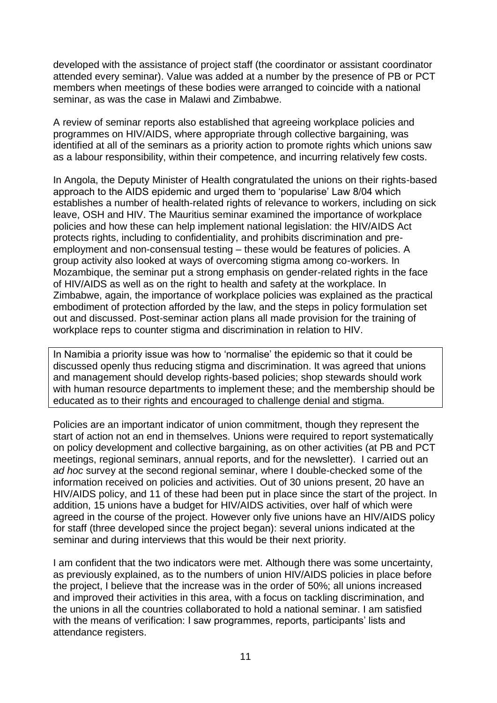developed with the assistance of project staff (the coordinator or assistant coordinator attended every seminar). Value was added at a number by the presence of PB or PCT members when meetings of these bodies were arranged to coincide with a national seminar, as was the case in Malawi and Zimbabwe.

A review of seminar reports also established that agreeing workplace policies and programmes on HIV/AIDS, where appropriate through collective bargaining, was identified at all of the seminars as a priority action to promote rights which unions saw as a labour responsibility, within their competence, and incurring relatively few costs.

In Angola, the Deputy Minister of Health congratulated the unions on their rights-based approach to the AIDS epidemic and urged them to "popularise" Law 8/04 which establishes a number of health-related rights of relevance to workers, including on sick leave, OSH and HIV. The Mauritius seminar examined the importance of workplace policies and how these can help implement national legislation: the HIV/AIDS Act protects rights, including to confidentiality, and prohibits discrimination and preemployment and non-consensual testing – these would be features of policies. A group activity also looked at ways of overcoming stigma among co-workers. In Mozambique, the seminar put a strong emphasis on gender-related rights in the face of HIV/AIDS as well as on the right to health and safety at the workplace. In Zimbabwe, again, the importance of workplace policies was explained as the practical embodiment of protection afforded by the law, and the steps in policy formulation set out and discussed. Post-seminar action plans all made provision for the training of workplace reps to counter stigma and discrimination in relation to HIV.

In Namibia a priority issue was how to "normalise" the epidemic so that it could be discussed openly thus reducing stigma and discrimination. It was agreed that unions and management should develop rights-based policies; shop stewards should work with human resource departments to implement these; and the membership should be educated as to their rights and encouraged to challenge denial and stigma.

Policies are an important indicator of union commitment, though they represent the start of action not an end in themselves. Unions were required to report systematically on policy development and collective bargaining, as on other activities (at PB and PCT meetings, regional seminars, annual reports, and for the newsletter). I carried out an *ad hoc* survey at the second regional seminar, where I double-checked some of the information received on policies and activities. Out of 30 unions present, 20 have an HIV/AIDS policy, and 11 of these had been put in place since the start of the project. In addition, 15 unions have a budget for HIV/AIDS activities, over half of which were agreed in the course of the project. However only five unions have an HIV/AIDS policy for staff (three developed since the project began): several unions indicated at the seminar and during interviews that this would be their next priority.

I am confident that the two indicators were met. Although there was some uncertainty, as previously explained, as to the numbers of union HIV/AIDS policies in place before the project, I believe that the increase was in the order of 50%; all unions increased and improved their activities in this area, with a focus on tackling discrimination, and the unions in all the countries collaborated to hold a national seminar. I am satisfied with the means of verification: I saw programmes, reports, participants' lists and attendance registers.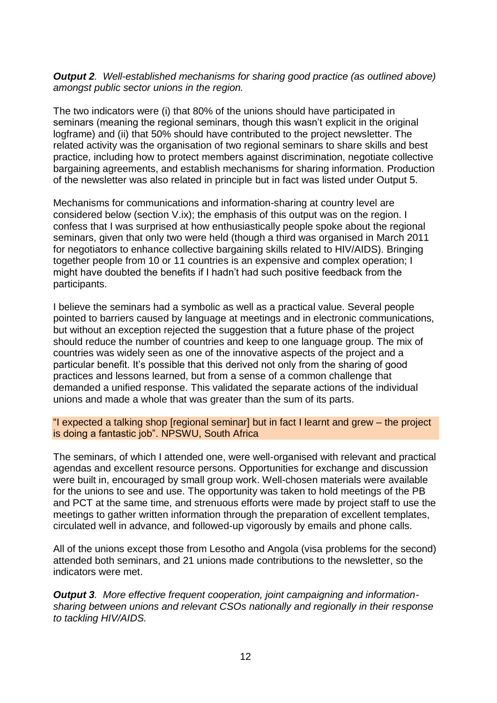#### *Output 2. Well-established mechanisms for sharing good practice (as outlined above) amongst public sector unions in the region.*

The two indicators were (i) that 80% of the unions should have participated in seminars (meaning the regional seminars, though this wasn"t explicit in the original logframe) and (ii) that 50% should have contributed to the project newsletter. The related activity was the organisation of two regional seminars to share skills and best practice, including how to protect members against discrimination, negotiate collective bargaining agreements, and establish mechanisms for sharing information. Production of the newsletter was also related in principle but in fact was listed under Output 5.

Mechanisms for communications and information-sharing at country level are considered below (section V.ix); the emphasis of this output was on the region. I confess that I was surprised at how enthusiastically people spoke about the regional seminars, given that only two were held (though a third was organised in March 2011 for negotiators to enhance collective bargaining skills related to HIV/AIDS). Bringing together people from 10 or 11 countries is an expensive and complex operation; I might have doubted the benefits if I hadn"t had such positive feedback from the participants.

I believe the seminars had a symbolic as well as a practical value. Several people pointed to barriers caused by language at meetings and in electronic communications, but without an exception rejected the suggestion that a future phase of the project should reduce the number of countries and keep to one language group. The mix of countries was widely seen as one of the innovative aspects of the project and a particular benefit. It's possible that this derived not only from the sharing of good practices and lessons learned, but from a sense of a common challenge that demanded a unified response. This validated the separate actions of the individual unions and made a whole that was greater than the sum of its parts.

"I expected a talking shop [regional seminar] but in fact I learnt and grew – the project is doing a fantastic job". NPSWU, South Africa

The seminars, of which I attended one, were well-organised with relevant and practical agendas and excellent resource persons. Opportunities for exchange and discussion were built in, encouraged by small group work. Well-chosen materials were available for the unions to see and use. The opportunity was taken to hold meetings of the PB and PCT at the same time, and strenuous efforts were made by project staff to use the meetings to gather written information through the preparation of excellent templates, circulated well in advance, and followed-up vigorously by emails and phone calls.

All of the unions except those from Lesotho and Angola (visa problems for the second) attended both seminars, and 21 unions made contributions to the newsletter, so the indicators were met.

*Output 3. More effective frequent cooperation, joint campaigning and informationsharing between unions and relevant CSOs nationally and regionally in their response to tackling HIV/AIDS.*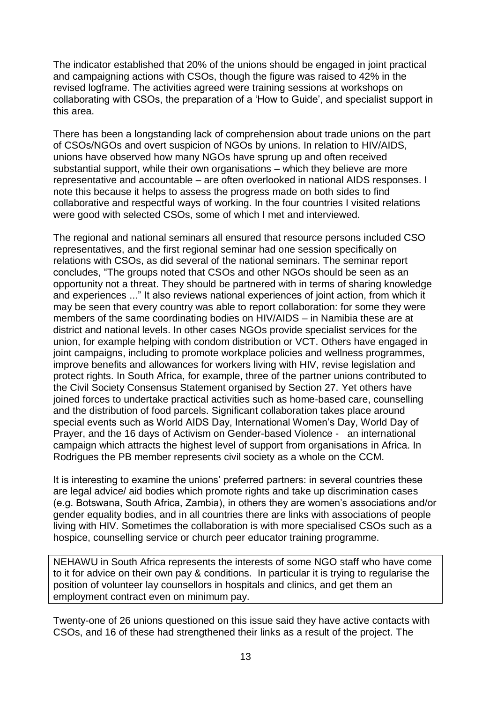The indicator established that 20% of the unions should be engaged in joint practical and campaigning actions with CSOs, though the figure was raised to 42% in the revised logframe. The activities agreed were training sessions at workshops on collaborating with CSOs, the preparation of a "How to Guide", and specialist support in this area.

There has been a longstanding lack of comprehension about trade unions on the part of CSOs/NGOs and overt suspicion of NGOs by unions. In relation to HIV/AIDS, unions have observed how many NGOs have sprung up and often received substantial support, while their own organisations – which they believe are more representative and accountable – are often overlooked in national AIDS responses. I note this because it helps to assess the progress made on both sides to find collaborative and respectful ways of working. In the four countries I visited relations were good with selected CSOs, some of which I met and interviewed.

The regional and national seminars all ensured that resource persons included CSO representatives, and the first regional seminar had one session specifically on relations with CSOs, as did several of the national seminars. The seminar report concludes, "The groups noted that CSOs and other NGOs should be seen as an opportunity not a threat. They should be partnered with in terms of sharing knowledge and experiences ..." It also reviews national experiences of joint action, from which it may be seen that every country was able to report collaboration: for some they were members of the same coordinating bodies on HIV/AIDS – in Namibia these are at district and national levels. In other cases NGOs provide specialist services for the union, for example helping with condom distribution or VCT. Others have engaged in joint campaigns, including to promote workplace policies and wellness programmes, improve benefits and allowances for workers living with HIV, revise legislation and protect rights. In South Africa, for example, three of the partner unions contributed to the Civil Society Consensus Statement organised by Section 27. Yet others have joined forces to undertake practical activities such as home-based care, counselling and the distribution of food parcels. Significant collaboration takes place around special events such as World AIDS Day, International Women"s Day, World Day of Prayer, and the 16 days of Activism on Gender-based Violence - an international campaign which attracts the highest level of support from organisations in Africa. In Rodrigues the PB member represents civil society as a whole on the CCM.

It is interesting to examine the unions" preferred partners: in several countries these are legal advice/ aid bodies which promote rights and take up discrimination cases (e.g. Botswana, South Africa, Zambia), in others they are women"s associations and/or gender equality bodies, and in all countries there are links with associations of people living with HIV. Sometimes the collaboration is with more specialised CSOs such as a hospice, counselling service or church peer educator training programme.

NEHAWU in South Africa represents the interests of some NGO staff who have come to it for advice on their own pay & conditions. In particular it is trying to regularise the position of volunteer lay counsellors in hospitals and clinics, and get them an employment contract even on minimum pay.

Twenty-one of 26 unions questioned on this issue said they have active contacts with CSOs, and 16 of these had strengthened their links as a result of the project. The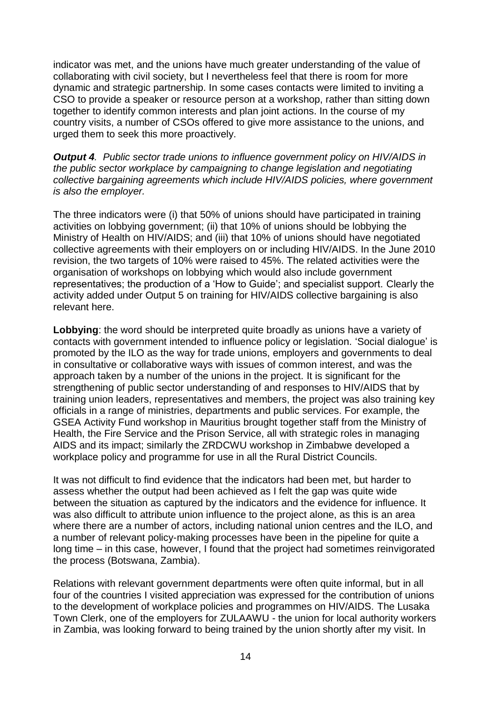indicator was met, and the unions have much greater understanding of the value of collaborating with civil society, but I nevertheless feel that there is room for more dynamic and strategic partnership. In some cases contacts were limited to inviting a CSO to provide a speaker or resource person at a workshop, rather than sitting down together to identify common interests and plan joint actions. In the course of my country visits, a number of CSOs offered to give more assistance to the unions, and urged them to seek this more proactively.

*Output 4. Public sector trade unions to influence government policy on HIV/AIDS in the public sector workplace by campaigning to change legislation and negotiating collective bargaining agreements which include HIV/AIDS policies, where government is also the employer.*

The three indicators were (i) that 50% of unions should have participated in training activities on lobbying government; (ii) that 10% of unions should be lobbying the Ministry of Health on HIV/AIDS; and (iii) that 10% of unions should have negotiated collective agreements with their employers on or including HIV/AIDS. In the June 2010 revision, the two targets of 10% were raised to 45%. The related activities were the organisation of workshops on lobbying which would also include government representatives; the production of a "How to Guide"; and specialist support. Clearly the activity added under Output 5 on training for HIV/AIDS collective bargaining is also relevant here.

**Lobbying**: the word should be interpreted quite broadly as unions have a variety of contacts with government intended to influence policy or legislation. "Social dialogue" is promoted by the ILO as the way for trade unions, employers and governments to deal in consultative or collaborative ways with issues of common interest, and was the approach taken by a number of the unions in the project. It is significant for the strengthening of public sector understanding of and responses to HIV/AIDS that by training union leaders, representatives and members, the project was also training key officials in a range of ministries, departments and public services. For example, the GSEA Activity Fund workshop in Mauritius brought together staff from the Ministry of Health, the Fire Service and the Prison Service, all with strategic roles in managing AIDS and its impact; similarly the ZRDCWU workshop in Zimbabwe developed a workplace policy and programme for use in all the Rural District Councils.

It was not difficult to find evidence that the indicators had been met, but harder to assess whether the output had been achieved as I felt the gap was quite wide between the situation as captured by the indicators and the evidence for influence. It was also difficult to attribute union influence to the project alone, as this is an area where there are a number of actors, including national union centres and the ILO, and a number of relevant policy-making processes have been in the pipeline for quite a long time – in this case, however, I found that the project had sometimes reinvigorated the process (Botswana, Zambia).

Relations with relevant government departments were often quite informal, but in all four of the countries I visited appreciation was expressed for the contribution of unions to the development of workplace policies and programmes on HIV/AIDS. The Lusaka Town Clerk, one of the employers for ZULAAWU - the union for local authority workers in Zambia, was looking forward to being trained by the union shortly after my visit. In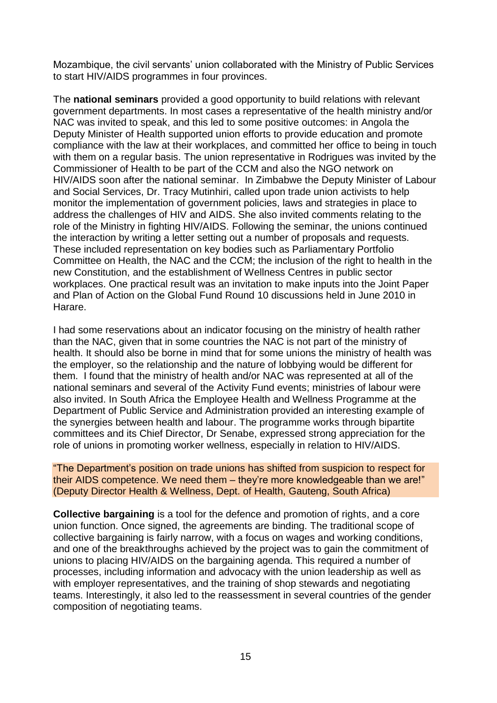Mozambique, the civil servants' union collaborated with the Ministry of Public Services to start HIV/AIDS programmes in four provinces.

The **national seminars** provided a good opportunity to build relations with relevant government departments. In most cases a representative of the health ministry and/or NAC was invited to speak, and this led to some positive outcomes: in Angola the Deputy Minister of Health supported union efforts to provide education and promote compliance with the law at their workplaces, and committed her office to being in touch with them on a regular basis. The union representative in Rodrigues was invited by the Commissioner of Health to be part of the CCM and also the NGO network on HIV/AIDS soon after the national seminar.In Zimbabwe the Deputy Minister of Labour and Social Services, Dr. Tracy Mutinhiri, called upon trade union activists to help monitor the implementation of government policies, laws and strategies in place to address the challenges of HIV and AIDS. She also invited comments relating to the role of the Ministry in fighting HIV/AIDS. Following the seminar, the unions continued the interaction by writing a letter setting out a number of proposals and requests. These included representation on key bodies such as Parliamentary Portfolio Committee on Health, the NAC and the CCM; the inclusion of the right to health in the new Constitution, and the establishment of Wellness Centres in public sector workplaces. One practical result was an invitation to make inputs into the Joint Paper and Plan of Action on the Global Fund Round 10 discussions held in June 2010 in Harare.

I had some reservations about an indicator focusing on the ministry of health rather than the NAC, given that in some countries the NAC is not part of the ministry of health. It should also be borne in mind that for some unions the ministry of health was the employer, so the relationship and the nature of lobbying would be different for them. I found that the ministry of health and/or NAC was represented at all of the national seminars and several of the Activity Fund events; ministries of labour were also invited. In South Africa the Employee Health and Wellness Programme at the Department of Public Service and Administration provided an interesting example of the synergies between health and labour. The programme works through bipartite committees and its Chief Director, Dr Senabe, expressed strong appreciation for the role of unions in promoting worker wellness, especially in relation to HIV/AIDS.

"The Department"s position on trade unions has shifted from suspicion to respect for their AIDS competence. We need them – they"re more knowledgeable than we are!" (Deputy Director Health & Wellness, Dept. of Health, Gauteng, South Africa)

**Collective bargaining** is a tool for the defence and promotion of rights, and a core union function. Once signed, the agreements are binding. The traditional scope of collective bargaining is fairly narrow, with a focus on wages and working conditions, and one of the breakthroughs achieved by the project was to gain the commitment of unions to placing HIV/AIDS on the bargaining agenda. This required a number of processes, including information and advocacy with the union leadership as well as with employer representatives, and the training of shop stewards and negotiating teams. Interestingly, it also led to the reassessment in several countries of the gender composition of negotiating teams.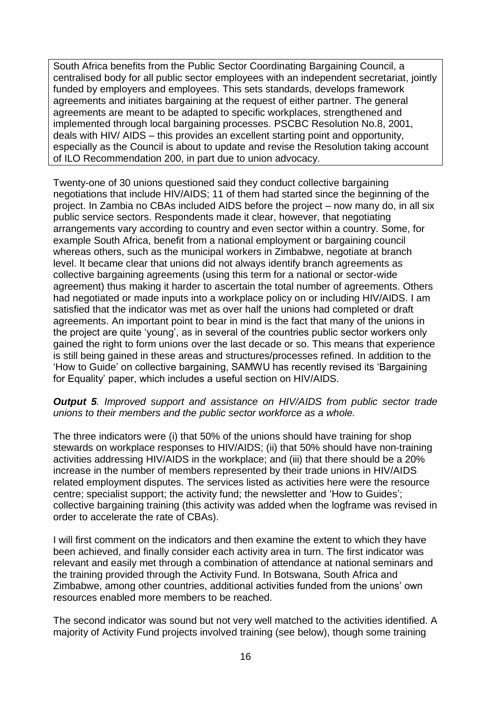South Africa benefits from the Public Sector Coordinating Bargaining Council, a centralised body for all public sector employees with an independent secretariat, jointly funded by employers and employees. This sets standards, develops framework agreements and initiates bargaining at the request of either partner. The general agreements are meant to be adapted to specific workplaces, strengthened and implemented through local bargaining processes. PSCBC Resolution No.8, 2001, deals with HIV/ AIDS – this provides an excellent starting point and opportunity, especially as the Council is about to update and revise the Resolution taking account of ILO Recommendation 200, in part due to union advocacy.

Twenty-one of 30 unions questioned said they conduct collective bargaining negotiations that include HIV/AIDS; 11 of them had started since the beginning of the project. In Zambia no CBAs included AIDS before the project – now many do, in all six public service sectors. Respondents made it clear, however, that negotiating arrangements vary according to country and even sector within a country. Some, for example South Africa, benefit from a national employment or bargaining council whereas others, such as the municipal workers in Zimbabwe, negotiate at branch level. It became clear that unions did not always identify branch agreements as collective bargaining agreements (using this term for a national or sector-wide agreement) thus making it harder to ascertain the total number of agreements. Others had negotiated or made inputs into a workplace policy on or including HIV/AIDS. I am satisfied that the indicator was met as over half the unions had completed or draft agreements. An important point to bear in mind is the fact that many of the unions in the project are quite "young", as in several of the countries public sector workers only gained the right to form unions over the last decade or so. This means that experience is still being gained in these areas and structures/processes refined. In addition to the "How to Guide" on collective bargaining, SAMWU has recently revised its "Bargaining for Equality" paper, which includes a useful section on HIV/AIDS.

#### *Output 5. Improved support and assistance on HIV/AIDS from public sector trade unions to their members and the public sector workforce as a whole.*

The three indicators were (i) that 50% of the unions should have training for shop stewards on workplace responses to HIV/AIDS; (ii) that 50% should have non-training activities addressing HIV/AIDS in the workplace; and (iii) that there should be a 20% increase in the number of members represented by their trade unions in HIV/AIDS related employment disputes. The services listed as activities here were the resource centre; specialist support; the activity fund; the newsletter and "How to Guides"; collective bargaining training (this activity was added when the logframe was revised in order to accelerate the rate of CBAs).

I will first comment on the indicators and then examine the extent to which they have been achieved, and finally consider each activity area in turn. The first indicator was relevant and easily met through a combination of attendance at national seminars and the training provided through the Activity Fund. In Botswana, South Africa and Zimbabwe, among other countries, additional activities funded from the unions" own resources enabled more members to be reached.

The second indicator was sound but not very well matched to the activities identified. A majority of Activity Fund projects involved training (see below), though some training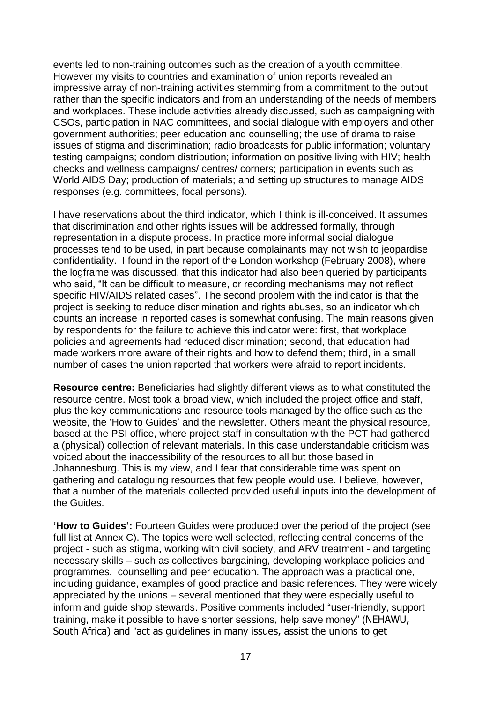events led to non-training outcomes such as the creation of a youth committee. However my visits to countries and examination of union reports revealed an impressive array of non-training activities stemming from a commitment to the output rather than the specific indicators and from an understanding of the needs of members and workplaces. These include activities already discussed, such as campaigning with CSOs, participation in NAC committees, and social dialogue with employers and other government authorities; peer education and counselling; the use of drama to raise issues of stigma and discrimination; radio broadcasts for public information; voluntary testing campaigns; condom distribution; information on positive living with HIV; health checks and wellness campaigns/ centres/ corners; participation in events such as World AIDS Day; production of materials; and setting up structures to manage AIDS responses (e.g. committees, focal persons).

I have reservations about the third indicator, which I think is ill-conceived. It assumes that discrimination and other rights issues will be addressed formally, through representation in a dispute process. In practice more informal social dialogue processes tend to be used, in part because complainants may not wish to jeopardise confidentiality. I found in the report of the London workshop (February 2008), where the logframe was discussed, that this indicator had also been queried by participants who said, "It can be difficult to measure, or recording mechanisms may not reflect specific HIV/AIDS related cases". The second problem with the indicator is that the project is seeking to reduce discrimination and rights abuses, so an indicator which counts an increase in reported cases is somewhat confusing. The main reasons given by respondents for the failure to achieve this indicator were: first, that workplace policies and agreements had reduced discrimination; second, that education had made workers more aware of their rights and how to defend them; third, in a small number of cases the union reported that workers were afraid to report incidents.

**Resource centre:** Beneficiaries had slightly different views as to what constituted the resource centre. Most took a broad view, which included the project office and staff, plus the key communications and resource tools managed by the office such as the website, the "How to Guides" and the newsletter. Others meant the physical resource, based at the PSI office, where project staff in consultation with the PCT had gathered a (physical) collection of relevant materials. In this case understandable criticism was voiced about the inaccessibility of the resources to all but those based in Johannesburg. This is my view, and I fear that considerable time was spent on gathering and cataloguing resources that few people would use. I believe, however, that a number of the materials collected provided useful inputs into the development of the Guides.

**'How to Guides':** Fourteen Guides were produced over the period of the project (see full list at Annex C). The topics were well selected, reflecting central concerns of the project - such as stigma, working with civil society, and ARV treatment - and targeting necessary skills – such as collectives bargaining, developing workplace policies and programmes, counselling and peer education. The approach was a practical one, including guidance, examples of good practice and basic references. They were widely appreciated by the unions – several mentioned that they were especially useful to inform and guide shop stewards. Positive comments included "user-friendly, support training, make it possible to have shorter sessions, help save money" (NEHAWU, South Africa) and "act as guidelines in many issues, assist the unions to get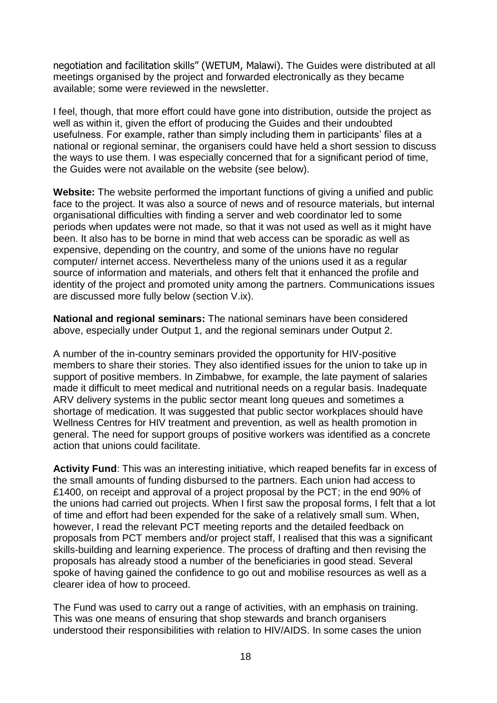negotiation and facilitation skills" (WETUM, Malawi). The Guides were distributed at all meetings organised by the project and forwarded electronically as they became available; some were reviewed in the newsletter.

I feel, though, that more effort could have gone into distribution, outside the project as well as within it, given the effort of producing the Guides and their undoubted usefulness. For example, rather than simply including them in participants' files at a national or regional seminar, the organisers could have held a short session to discuss the ways to use them. I was especially concerned that for a significant period of time, the Guides were not available on the website (see below).

**Website:** The website performed the important functions of giving a unified and public face to the project. It was also a source of news and of resource materials, but internal organisational difficulties with finding a server and web coordinator led to some periods when updates were not made, so that it was not used as well as it might have been. It also has to be borne in mind that web access can be sporadic as well as expensive, depending on the country, and some of the unions have no regular computer/ internet access. Nevertheless many of the unions used it as a regular source of information and materials, and others felt that it enhanced the profile and identity of the project and promoted unity among the partners. Communications issues are discussed more fully below (section V.ix).

**National and regional seminars:** The national seminars have been considered above, especially under Output 1, and the regional seminars under Output 2.

A number of the in-country seminars provided the opportunity for HIV-positive members to share their stories. They also identified issues for the union to take up in support of positive members. In Zimbabwe, for example, the late payment of salaries made it difficult to meet medical and nutritional needs on a regular basis. Inadequate ARV delivery systems in the public sector meant long queues and sometimes a shortage of medication. It was suggested that public sector workplaces should have Wellness Centres for HIV treatment and prevention, as well as health promotion in general. The need for support groups of positive workers was identified as a concrete action that unions could facilitate.

**Activity Fund**: This was an interesting initiative, which reaped benefits far in excess of the small amounts of funding disbursed to the partners. Each union had access to £1400, on receipt and approval of a project proposal by the PCT; in the end 90% of the unions had carried out projects. When I first saw the proposal forms, I felt that a lot of time and effort had been expended for the sake of a relatively small sum. When, however, I read the relevant PCT meeting reports and the detailed feedback on proposals from PCT members and/or project staff, I realised that this was a significant skills-building and learning experience. The process of drafting and then revising the proposals has already stood a number of the beneficiaries in good stead. Several spoke of having gained the confidence to go out and mobilise resources as well as a clearer idea of how to proceed.

The Fund was used to carry out a range of activities, with an emphasis on training. This was one means of ensuring that shop stewards and branch organisers understood their responsibilities with relation to HIV/AIDS. In some cases the union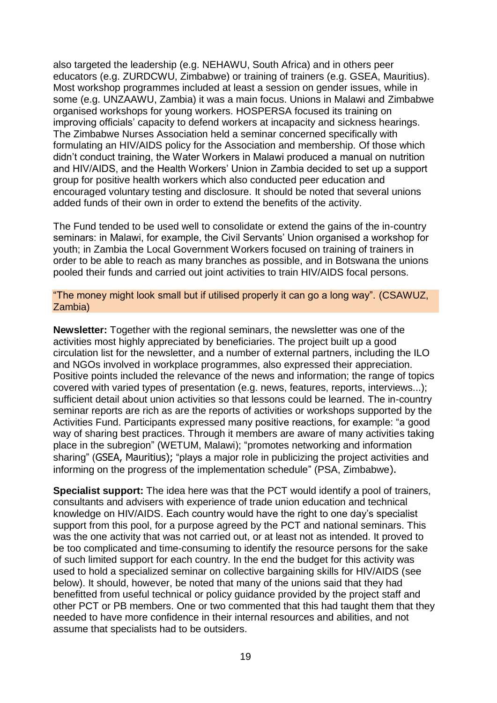also targeted the leadership (e.g. NEHAWU, South Africa) and in others peer educators (e.g. ZURDCWU, Zimbabwe) or training of trainers (e.g. GSEA, Mauritius). Most workshop programmes included at least a session on gender issues, while in some (e.g. UNZAAWU, Zambia) it was a main focus. Unions in Malawi and Zimbabwe organised workshops for young workers. HOSPERSA focused its training on improving officials" capacity to defend workers at incapacity and sickness hearings. The Zimbabwe Nurses Association held a seminar concerned specifically with formulating an HIV/AIDS policy for the Association and membership. Of those which didn"t conduct training, the Water Workers in Malawi produced a manual on nutrition and HIV/AIDS, and the Health Workers" Union in Zambia decided to set up a support group for positive health workers which also conducted peer education and encouraged voluntary testing and disclosure. It should be noted that several unions added funds of their own in order to extend the benefits of the activity.

The Fund tended to be used well to consolidate or extend the gains of the in-country seminars: in Malawi, for example, the Civil Servants' Union organised a workshop for youth; in Zambia the Local Government Workers focused on training of trainers in order to be able to reach as many branches as possible, and in Botswana the unions pooled their funds and carried out joint activities to train HIV/AIDS focal persons.

"The money might look small but if utilised properly it can go a long way". (CSAWUZ, Zambia)

**Newsletter:** Together with the regional seminars, the newsletter was one of the activities most highly appreciated by beneficiaries. The project built up a good circulation list for the newsletter, and a number of external partners, including the ILO and NGOs involved in workplace programmes, also expressed their appreciation. Positive points included the relevance of the news and information; the range of topics covered with varied types of presentation (e.g. news, features, reports, interviews...); sufficient detail about union activities so that lessons could be learned. The in-country seminar reports are rich as are the reports of activities or workshops supported by the Activities Fund. Participants expressed many positive reactions, for example: "a good way of sharing best practices. Through it members are aware of many activities taking place in the subregion" (WETUM, Malawi); "promotes networking and information sharing" (GSEA, Mauritius); "plays a major role in publicizing the project activities and informing on the progress of the implementation schedule" (PSA, Zimbabwe).

**Specialist support:** The idea here was that the PCT would identify a pool of trainers, consultants and advisers with experience of trade union education and technical knowledge on HIV/AIDS. Each country would have the right to one day"s specialist support from this pool, for a purpose agreed by the PCT and national seminars. This was the one activity that was not carried out, or at least not as intended. It proved to be too complicated and time-consuming to identify the resource persons for the sake of such limited support for each country. In the end the budget for this activity was used to hold a specialized seminar on collective bargaining skills for HIV/AIDS (see below). It should, however, be noted that many of the unions said that they had benefitted from useful technical or policy guidance provided by the project staff and other PCT or PB members. One or two commented that this had taught them that they needed to have more confidence in their internal resources and abilities, and not assume that specialists had to be outsiders.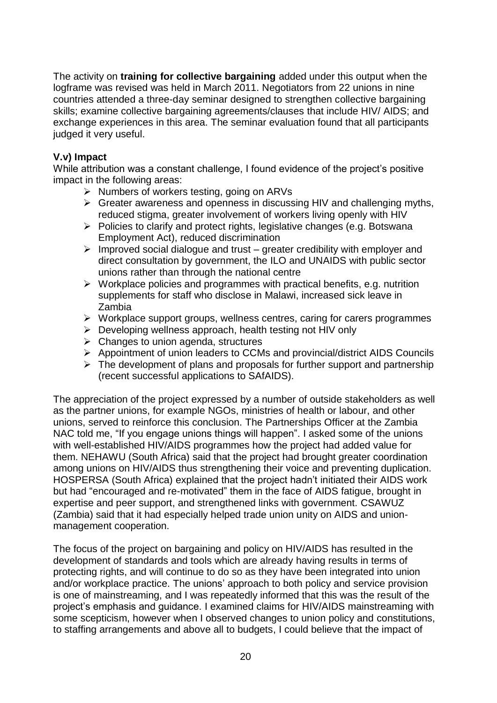The activity on **training for collective bargaining** added under this output when the logframe was revised was held in March 2011. Negotiators from 22 unions in nine countries attended a three-day seminar designed to strengthen collective bargaining skills; examine collective bargaining agreements/clauses that include HIV/ AIDS; and exchange experiences in this area. The seminar evaluation found that all participants judged it very useful.

## **V.v) Impact**

While attribution was a constant challenge, I found evidence of the project's positive impact in the following areas:

- $\triangleright$  Numbers of workers testing, going on ARVs
- $\triangleright$  Greater awareness and openness in discussing HIV and challenging myths, reduced stigma, greater involvement of workers living openly with HIV
- $\triangleright$  Policies to clarify and protect rights, legislative changes (e.g. Botswana Employment Act), reduced discrimination
- $\triangleright$  Improved social dialogue and trust greater credibility with employer and direct consultation by government, the ILO and UNAIDS with public sector unions rather than through the national centre
- $\triangleright$  Workplace policies and programmes with practical benefits, e.g. nutrition supplements for staff who disclose in Malawi, increased sick leave in Zambia
- $\triangleright$  Workplace support groups, wellness centres, caring for carers programmes
- $\triangleright$  Developing wellness approach, health testing not HIV only
- $\triangleright$  Changes to union agenda, structures
- Appointment of union leaders to CCMs and provincial/district AIDS Councils
- $\triangleright$  The development of plans and proposals for further support and partnership (recent successful applications to SAfAIDS).

The appreciation of the project expressed by a number of outside stakeholders as well as the partner unions, for example NGOs, ministries of health or labour, and other unions, served to reinforce this conclusion. The Partnerships Officer at the Zambia NAC told me, "If you engage unions things will happen". I asked some of the unions with well-established HIV/AIDS programmes how the project had added value for them. NEHAWU (South Africa) said that the project had brought greater coordination among unions on HIV/AIDS thus strengthening their voice and preventing duplication. HOSPERSA (South Africa) explained that the project hadn"t initiated their AIDS work but had "encouraged and re-motivated" them in the face of AIDS fatigue, brought in expertise and peer support, and strengthened links with government. CSAWUZ (Zambia) said that it had especially helped trade union unity on AIDS and unionmanagement cooperation.

The focus of the project on bargaining and policy on HIV/AIDS has resulted in the development of standards and tools which are already having results in terms of protecting rights, and will continue to do so as they have been integrated into union and/or workplace practice. The unions" approach to both policy and service provision is one of mainstreaming, and I was repeatedly informed that this was the result of the project"s emphasis and guidance. I examined claims for HIV/AIDS mainstreaming with some scepticism, however when I observed changes to union policy and constitutions, to staffing arrangements and above all to budgets, I could believe that the impact of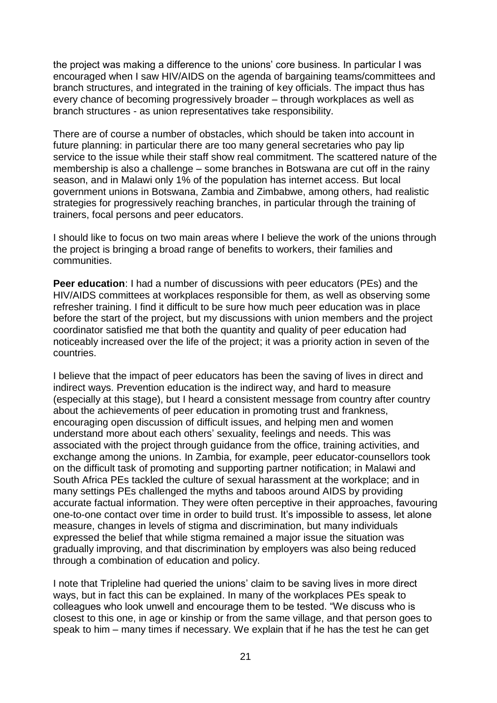the project was making a difference to the unions" core business. In particular I was encouraged when I saw HIV/AIDS on the agenda of bargaining teams/committees and branch structures, and integrated in the training of key officials. The impact thus has every chance of becoming progressively broader – through workplaces as well as branch structures - as union representatives take responsibility.

There are of course a number of obstacles, which should be taken into account in future planning: in particular there are too many general secretaries who pay lip service to the issue while their staff show real commitment. The scattered nature of the membership is also a challenge – some branches in Botswana are cut off in the rainy season, and in Malawi only 1% of the population has internet access. But local government unions in Botswana, Zambia and Zimbabwe, among others, had realistic strategies for progressively reaching branches, in particular through the training of trainers, focal persons and peer educators.

I should like to focus on two main areas where I believe the work of the unions through the project is bringing a broad range of benefits to workers, their families and communities.

**Peer education**: I had a number of discussions with peer educators (PEs) and the HIV/AIDS committees at workplaces responsible for them, as well as observing some refresher training. I find it difficult to be sure how much peer education was in place before the start of the project, but my discussions with union members and the project coordinator satisfied me that both the quantity and quality of peer education had noticeably increased over the life of the project; it was a priority action in seven of the countries.

I believe that the impact of peer educators has been the saving of lives in direct and indirect ways. Prevention education is the indirect way, and hard to measure (especially at this stage), but I heard a consistent message from country after country about the achievements of peer education in promoting trust and frankness, encouraging open discussion of difficult issues, and helping men and women understand more about each others" sexuality, feelings and needs. This was associated with the project through guidance from the office, training activities, and exchange among the unions. In Zambia, for example, peer educator-counsellors took on the difficult task of promoting and supporting partner notification; in Malawi and South Africa PEs tackled the culture of sexual harassment at the workplace; and in many settings PEs challenged the myths and taboos around AIDS by providing accurate factual information. They were often perceptive in their approaches, favouring one-to-one contact over time in order to build trust. It"s impossible to assess, let alone measure, changes in levels of stigma and discrimination, but many individuals expressed the belief that while stigma remained a major issue the situation was gradually improving, and that discrimination by employers was also being reduced through a combination of education and policy.

I note that Tripleline had queried the unions' claim to be saving lives in more direct ways, but in fact this can be explained. In many of the workplaces PEs speak to colleagues who look unwell and encourage them to be tested. "We discuss who is closest to this one, in age or kinship or from the same village, and that person goes to speak to him – many times if necessary. We explain that if he has the test he can get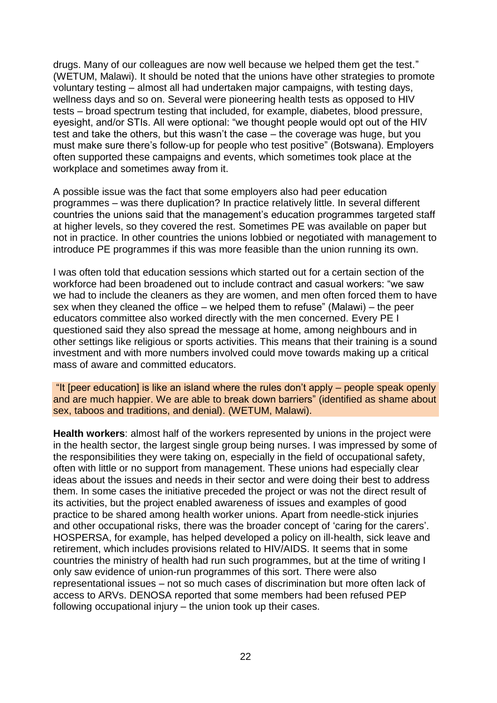drugs. Many of our colleagues are now well because we helped them get the test." (WETUM, Malawi). It should be noted that the unions have other strategies to promote voluntary testing – almost all had undertaken major campaigns, with testing days, wellness days and so on. Several were pioneering health tests as opposed to HIV tests – broad spectrum testing that included, for example, diabetes, blood pressure, eyesight, and/or STIs. All were optional: "we thought people would opt out of the HIV test and take the others, but this wasn"t the case – the coverage was huge, but you must make sure there"s follow-up for people who test positive" (Botswana). Employers often supported these campaigns and events, which sometimes took place at the workplace and sometimes away from it.

A possible issue was the fact that some employers also had peer education programmes – was there duplication? In practice relatively little. In several different countries the unions said that the management"s education programmes targeted staff at higher levels, so they covered the rest. Sometimes PE was available on paper but not in practice. In other countries the unions lobbied or negotiated with management to introduce PE programmes if this was more feasible than the union running its own.

I was often told that education sessions which started out for a certain section of the workforce had been broadened out to include contract and casual workers: "we saw we had to include the cleaners as they are women, and men often forced them to have sex when they cleaned the office – we helped them to refuse" (Malawi) – the peer educators committee also worked directly with the men concerned. Every PE I questioned said they also spread the message at home, among neighbours and in other settings like religious or sports activities. This means that their training is a sound investment and with more numbers involved could move towards making up a critical mass of aware and committed educators.

"It [peer education] is like an island where the rules don"t apply – people speak openly and are much happier. We are able to break down barriers" (identified as shame about sex, taboos and traditions, and denial). (WETUM, Malawi).

**Health workers**: almost half of the workers represented by unions in the project were in the health sector, the largest single group being nurses. I was impressed by some of the responsibilities they were taking on, especially in the field of occupational safety, often with little or no support from management. These unions had especially clear ideas about the issues and needs in their sector and were doing their best to address them. In some cases the initiative preceded the project or was not the direct result of its activities, but the project enabled awareness of issues and examples of good practice to be shared among health worker unions. Apart from needle-stick injuries and other occupational risks, there was the broader concept of "caring for the carers". HOSPERSA, for example, has helped developed a policy on ill-health, sick leave and retirement, which includes provisions related to HIV/AIDS. It seems that in some countries the ministry of health had run such programmes, but at the time of writing I only saw evidence of union-run programmes of this sort. There were also representational issues – not so much cases of discrimination but more often lack of access to ARVs. DENOSA reported that some members had been refused PEP following occupational injury – the union took up their cases.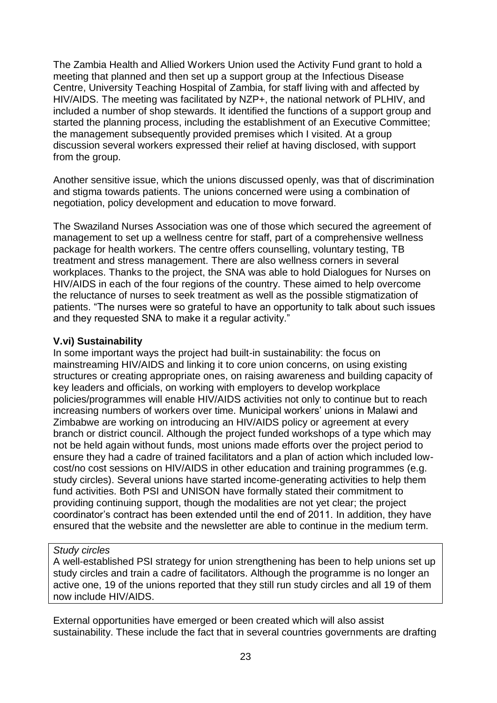The Zambia Health and Allied Workers Union used the Activity Fund grant to hold a meeting that planned and then set up a support group at the Infectious Disease Centre, University Teaching Hospital of Zambia, for staff living with and affected by HIV/AIDS. The meeting was facilitated by NZP+, the national network of PLHIV, and included a number of shop stewards. It identified the functions of a support group and started the planning process, including the establishment of an Executive Committee; the management subsequently provided premises which I visited. At a group discussion several workers expressed their relief at having disclosed, with support from the group.

Another sensitive issue, which the unions discussed openly, was that of discrimination and stigma towards patients. The unions concerned were using a combination of negotiation, policy development and education to move forward.

The Swaziland Nurses Association was one of those which secured the agreement of management to set up a wellness centre for staff, part of a comprehensive wellness package for health workers. The centre offers counselling, voluntary testing, TB treatment and stress management. There are also wellness corners in several workplaces. Thanks to the project, the SNA was able to hold Dialogues for Nurses on HIV/AIDS in each of the four regions of the country. These aimed to help overcome the reluctance of nurses to seek treatment as well as the possible stigmatization of patients. "The nurses were so grateful to have an opportunity to talk about such issues and they requested SNA to make it a regular activity."

### **V.vi) Sustainability**

In some important ways the project had built-in sustainability: the focus on mainstreaming HIV/AIDS and linking it to core union concerns, on using existing structures or creating appropriate ones, on raising awareness and building capacity of key leaders and officials, on working with employers to develop workplace policies/programmes will enable HIV/AIDS activities not only to continue but to reach increasing numbers of workers over time. Municipal workers' unions in Malawi and Zimbabwe are working on introducing an HIV/AIDS policy or agreement at every branch or district council. Although the project funded workshops of a type which may not be held again without funds, most unions made efforts over the project period to ensure they had a cadre of trained facilitators and a plan of action which included lowcost/no cost sessions on HIV/AIDS in other education and training programmes (e.g. study circles). Several unions have started income-generating activities to help them fund activities. Both PSI and UNISON have formally stated their commitment to providing continuing support, though the modalities are not yet clear; the project coordinator"s contract has been extended until the end of 2011. In addition, they have ensured that the website and the newsletter are able to continue in the medium term.

#### *Study circles*

A well-established PSI strategy for union strengthening has been to help unions set up study circles and train a cadre of facilitators. Although the programme is no longer an active one, 19 of the unions reported that they still run study circles and all 19 of them now include HIV/AIDS.

External opportunities have emerged or been created which will also assist sustainability. These include the fact that in several countries governments are drafting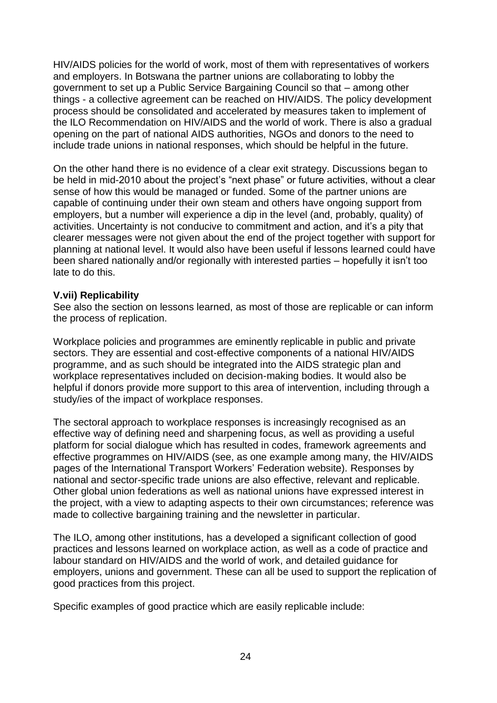HIV/AIDS policies for the world of work, most of them with representatives of workers and employers. In Botswana the partner unions are collaborating to lobby the government to set up a Public Service Bargaining Council so that – among other things - a collective agreement can be reached on HIV/AIDS. The policy development process should be consolidated and accelerated by measures taken to implement of the ILO Recommendation on HIV/AIDS and the world of work. There is also a gradual opening on the part of national AIDS authorities, NGOs and donors to the need to include trade unions in national responses, which should be helpful in the future.

On the other hand there is no evidence of a clear exit strategy. Discussions began to be held in mid-2010 about the project's "next phase" or future activities, without a clear sense of how this would be managed or funded. Some of the partner unions are capable of continuing under their own steam and others have ongoing support from employers, but a number will experience a dip in the level (and, probably, quality) of activities. Uncertainty is not conducive to commitment and action, and it"s a pity that clearer messages were not given about the end of the project together with support for planning at national level. It would also have been useful if lessons learned could have been shared nationally and/or regionally with interested parties – hopefully it isn"t too late to do this.

#### **V.vii) Replicability**

See also the section on lessons learned, as most of those are replicable or can inform the process of replication.

Workplace policies and programmes are eminently replicable in public and private sectors. They are essential and cost-effective components of a national HIV/AIDS programme, and as such should be integrated into the AIDS strategic plan and workplace representatives included on decision-making bodies. It would also be helpful if donors provide more support to this area of intervention, including through a study/ies of the impact of workplace responses.

The sectoral approach to workplace responses is increasingly recognised as an effective way of defining need and sharpening focus, as well as providing a useful platform for social dialogue which has resulted in codes, framework agreements and effective programmes on HIV/AIDS (see, as one example among many, the HIV/AIDS pages of the International Transport Workers" Federation website). Responses by national and sector-specific trade unions are also effective, relevant and replicable. Other global union federations as well as national unions have expressed interest in the project, with a view to adapting aspects to their own circumstances; reference was made to collective bargaining training and the newsletter in particular.

The ILO, among other institutions, has a developed a significant collection of good practices and lessons learned on workplace action, as well as a code of practice and labour standard on HIV/AIDS and the world of work, and detailed guidance for employers, unions and government. These can all be used to support the replication of good practices from this project.

Specific examples of good practice which are easily replicable include: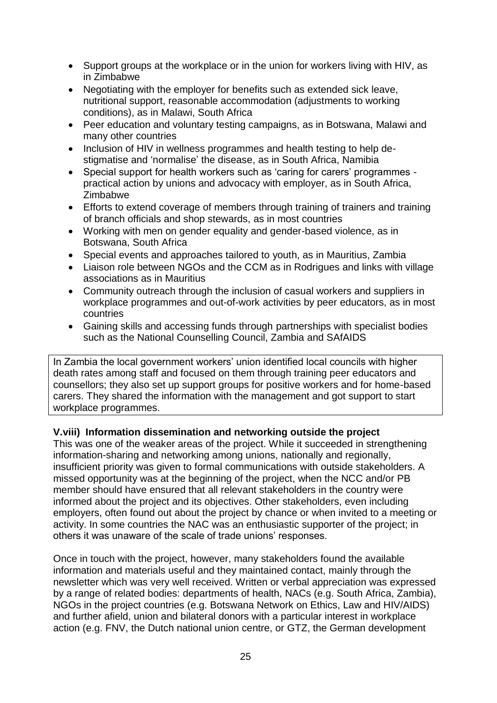- Support groups at the workplace or in the union for workers living with HIV, as in Zimbabwe
- Negotiating with the employer for benefits such as extended sick leave, nutritional support, reasonable accommodation (adjustments to working conditions), as in Malawi, South Africa
- Peer education and voluntary testing campaigns, as in Botswana, Malawi and many other countries
- Inclusion of HIV in wellness programmes and health testing to help destigmatise and "normalise" the disease, as in South Africa, Namibia
- Special support for health workers such as 'caring for carers' programmes practical action by unions and advocacy with employer, as in South Africa, Zimbabwe
- Efforts to extend coverage of members through training of trainers and training of branch officials and shop stewards, as in most countries
- Working with men on gender equality and gender-based violence, as in Botswana, South Africa
- Special events and approaches tailored to youth, as in Mauritius, Zambia
- Liaison role between NGOs and the CCM as in Rodrigues and links with village associations as in Mauritius
- Community outreach through the inclusion of casual workers and suppliers in workplace programmes and out-of-work activities by peer educators, as in most countries
- Gaining skills and accessing funds through partnerships with specialist bodies such as the National Counselling Council, Zambia and SAfAIDS

In Zambia the local government workers' union identified local councils with higher death rates among staff and focused on them through training peer educators and counsellors; they also set up support groups for positive workers and for home-based carers. They shared the information with the management and got support to start workplace programmes.

## **V.viii) Information dissemination and networking outside the project**

This was one of the weaker areas of the project. While it succeeded in strengthening information-sharing and networking among unions, nationally and regionally, insufficient priority was given to formal communications with outside stakeholders. A missed opportunity was at the beginning of the project, when the NCC and/or PB member should have ensured that all relevant stakeholders in the country were informed about the project and its objectives. Other stakeholders, even including employers, often found out about the project by chance or when invited to a meeting or activity. In some countries the NAC was an enthusiastic supporter of the project; in others it was unaware of the scale of trade unions" responses.

Once in touch with the project, however, many stakeholders found the available information and materials useful and they maintained contact, mainly through the newsletter which was very well received. Written or verbal appreciation was expressed by a range of related bodies: departments of health, NACs (e.g. South Africa, Zambia), NGOs in the project countries (e.g. Botswana Network on Ethics, Law and HIV/AIDS) and further afield, union and bilateral donors with a particular interest in workplace action (e.g. FNV, the Dutch national union centre, or GTZ, the German development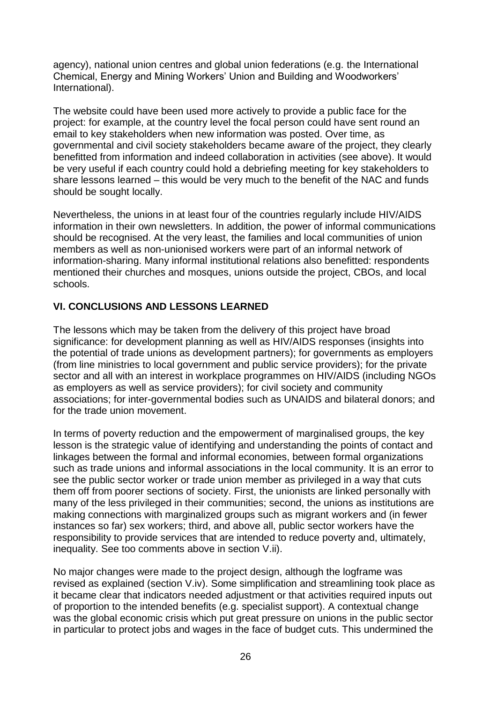agency), national union centres and global union federations (e.g. the International Chemical, Energy and Mining Workers" Union and Building and Woodworkers" International).

The website could have been used more actively to provide a public face for the project: for example, at the country level the focal person could have sent round an email to key stakeholders when new information was posted. Over time, as governmental and civil society stakeholders became aware of the project, they clearly benefitted from information and indeed collaboration in activities (see above). It would be very useful if each country could hold a debriefing meeting for key stakeholders to share lessons learned – this would be very much to the benefit of the NAC and funds should be sought locally.

Nevertheless, the unions in at least four of the countries regularly include HIV/AIDS information in their own newsletters. In addition, the power of informal communications should be recognised. At the very least, the families and local communities of union members as well as non-unionised workers were part of an informal network of information-sharing. Many informal institutional relations also benefitted: respondents mentioned their churches and mosques, unions outside the project, CBOs, and local schools.

## **VI. CONCLUSIONS AND LESSONS LEARNED**

The lessons which may be taken from the delivery of this project have broad significance: for development planning as well as HIV/AIDS responses (insights into the potential of trade unions as development partners); for governments as employers (from line ministries to local government and public service providers); for the private sector and all with an interest in workplace programmes on HIV/AIDS (including NGOs as employers as well as service providers); for civil society and community associations; for inter-governmental bodies such as UNAIDS and bilateral donors; and for the trade union movement.

In terms of poverty reduction and the empowerment of marginalised groups, the key lesson is the strategic value of identifying and understanding the points of contact and linkages between the formal and informal economies, between formal organizations such as trade unions and informal associations in the local community. It is an error to see the public sector worker or trade union member as privileged in a way that cuts them off from poorer sections of society. First, the unionists are linked personally with many of the less privileged in their communities; second, the unions as institutions are making connections with marginalized groups such as migrant workers and (in fewer instances so far) sex workers; third, and above all, public sector workers have the responsibility to provide services that are intended to reduce poverty and, ultimately, inequality. See too comments above in section V.ii).

No major changes were made to the project design, although the logframe was revised as explained (section V.iv). Some simplification and streamlining took place as it became clear that indicators needed adjustment or that activities required inputs out of proportion to the intended benefits (e.g. specialist support). A contextual change was the global economic crisis which put great pressure on unions in the public sector in particular to protect jobs and wages in the face of budget cuts. This undermined the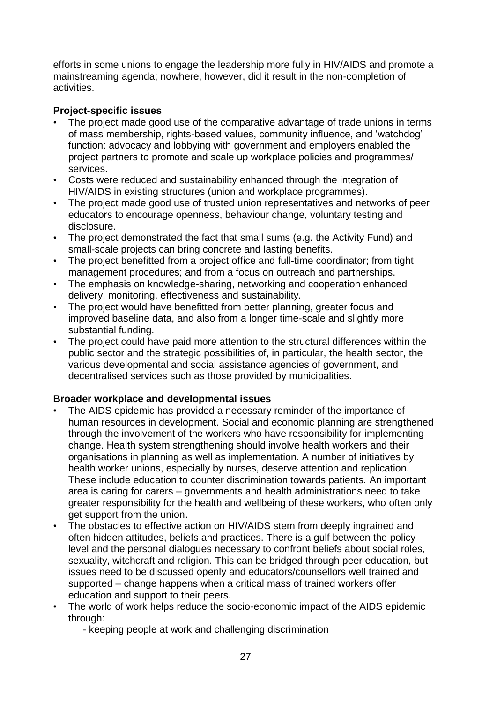efforts in some unions to engage the leadership more fully in HIV/AIDS and promote a mainstreaming agenda; nowhere, however, did it result in the non-completion of activities.

## **Project-specific issues**

- The project made good use of the comparative advantage of trade unions in terms of mass membership, rights-based values, community influence, and "watchdog" function: advocacy and lobbying with government and employers enabled the project partners to promote and scale up workplace policies and programmes/ services.
- Costs were reduced and sustainability enhanced through the integration of HIV/AIDS in existing structures (union and workplace programmes).
- The project made good use of trusted union representatives and networks of peer educators to encourage openness, behaviour change, voluntary testing and disclosure.
- The project demonstrated the fact that small sums (e.g. the Activity Fund) and small-scale projects can bring concrete and lasting benefits.
- The project benefitted from a project office and full-time coordinator; from tight management procedures; and from a focus on outreach and partnerships.
- The emphasis on knowledge-sharing, networking and cooperation enhanced delivery, monitoring, effectiveness and sustainability.
- The project would have benefitted from better planning, greater focus and improved baseline data, and also from a longer time-scale and slightly more substantial funding.
- The project could have paid more attention to the structural differences within the public sector and the strategic possibilities of, in particular, the health sector, the various developmental and social assistance agencies of government, and decentralised services such as those provided by municipalities.

## **Broader workplace and developmental issues**

- The AIDS epidemic has provided a necessary reminder of the importance of human resources in development. Social and economic planning are strengthened through the involvement of the workers who have responsibility for implementing change. Health system strengthening should involve health workers and their organisations in planning as well as implementation. A number of initiatives by health worker unions, especially by nurses, deserve attention and replication. These include education to counter discrimination towards patients. An important area is caring for carers – governments and health administrations need to take greater responsibility for the health and wellbeing of these workers, who often only get support from the union.
- The obstacles to effective action on HIV/AIDS stem from deeply ingrained and often hidden attitudes, beliefs and practices. There is a gulf between the policy level and the personal dialogues necessary to confront beliefs about social roles, sexuality, witchcraft and religion. This can be bridged through peer education, but issues need to be discussed openly and educators/counsellors well trained and supported – change happens when a critical mass of trained workers offer education and support to their peers.
- The world of work helps reduce the socio-economic impact of the AIDS epidemic through:
	- keeping people at work and challenging discrimination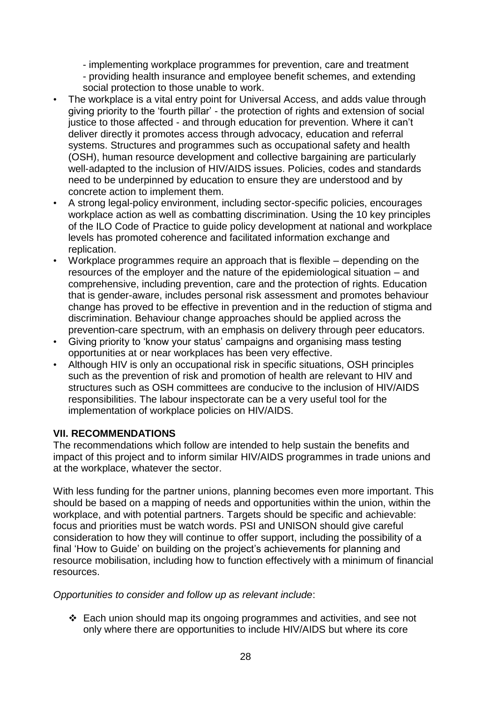- implementing workplace programmes for prevention, care and treatment

- providing health insurance and employee benefit schemes, and extending social protection to those unable to work.
- The workplace is a vital entry point for Universal Access, and adds value through giving priority to the "fourth pillar" - the protection of rights and extension of social justice to those affected - and through education for prevention. Where it can't deliver directly it promotes access through advocacy, education and referral systems. Structures and programmes such as occupational safety and health (OSH), human resource development and collective bargaining are particularly well-adapted to the inclusion of HIV/AIDS issues. Policies, codes and standards need to be underpinned by education to ensure they are understood and by concrete action to implement them.
- A strong legal-policy environment, including sector-specific policies, encourages workplace action as well as combatting discrimination. Using the 10 key principles of the ILO Code of Practice to guide policy development at national and workplace levels has promoted coherence and facilitated information exchange and replication.
- Workplace programmes require an approach that is flexible depending on the resources of the employer and the nature of the epidemiological situation – and comprehensive, including prevention, care and the protection of rights. Education that is gender-aware, includes personal risk assessment and promotes behaviour change has proved to be effective in prevention and in the reduction of stigma and discrimination. Behaviour change approaches should be applied across the prevention-care spectrum, with an emphasis on delivery through peer educators.
- Giving priority to "know your status" campaigns and organising mass testing opportunities at or near workplaces has been very effective.
- Although HIV is only an occupational risk in specific situations, OSH principles such as the prevention of risk and promotion of health are relevant to HIV and structures such as OSH committees are conducive to the inclusion of HIV/AIDS responsibilities. The labour inspectorate can be a very useful tool for the implementation of workplace policies on HIV/AIDS.

## **VII. RECOMMENDATIONS**

The recommendations which follow are intended to help sustain the benefits and impact of this project and to inform similar HIV/AIDS programmes in trade unions and at the workplace, whatever the sector.

With less funding for the partner unions, planning becomes even more important. This should be based on a mapping of needs and opportunities within the union, within the workplace, and with potential partners. Targets should be specific and achievable: focus and priorities must be watch words. PSI and UNISON should give careful consideration to how they will continue to offer support, including the possibility of a final "How to Guide" on building on the project"s achievements for planning and resource mobilisation, including how to function effectively with a minimum of financial resources.

*Opportunities to consider and follow up as relevant include*:

 Each union should map its ongoing programmes and activities, and see not only where there are opportunities to include HIV/AIDS but where its core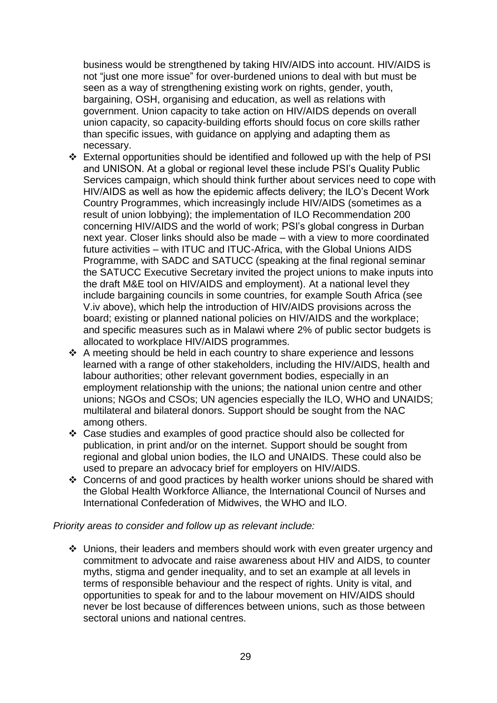business would be strengthened by taking HIV/AIDS into account. HIV/AIDS is not "just one more issue" for over-burdened unions to deal with but must be seen as a way of strengthening existing work on rights, gender, youth, bargaining, OSH, organising and education, as well as relations with government. Union capacity to take action on HIV/AIDS depends on overall union capacity, so capacity-building efforts should focus on core skills rather than specific issues, with guidance on applying and adapting them as necessary.

- External opportunities should be identified and followed up with the help of PSI and UNISON. At a global or regional level these include PSI"s Quality Public Services campaign, which should think further about services need to cope with HIV/AIDS as well as how the epidemic affects delivery; the ILO"s Decent Work Country Programmes, which increasingly include HIV/AIDS (sometimes as a result of union lobbying); the implementation of ILO Recommendation 200 concerning HIV/AIDS and the world of work; PSI"s global congress in Durban next year. Closer links should also be made – with a view to more coordinated future activities – with ITUC and ITUC-Africa, with the Global Unions AIDS Programme, with SADC and SATUCC (speaking at the final regional seminar the SATUCC Executive Secretary invited the project unions to make inputs into the draft M&E tool on HIV/AIDS and employment). At a national level they include bargaining councils in some countries, for example South Africa (see V.iv above), which help the introduction of HIV/AIDS provisions across the board; existing or planned national policies on HIV/AIDS and the workplace; and specific measures such as in Malawi where 2% of public sector budgets is allocated to workplace HIV/AIDS programmes.
- A meeting should be held in each country to share experience and lessons learned with a range of other stakeholders, including the HIV/AIDS, health and labour authorities; other relevant government bodies, especially in an employment relationship with the unions; the national union centre and other unions; NGOs and CSOs; UN agencies especially the ILO, WHO and UNAIDS; multilateral and bilateral donors. Support should be sought from the NAC among others.
- Case studies and examples of good practice should also be collected for publication, in print and/or on the internet. Support should be sought from regional and global union bodies, the ILO and UNAIDS. These could also be used to prepare an advocacy brief for employers on HIV/AIDS.
- Concerns of and good practices by health worker unions should be shared with the Global Health Workforce Alliance, the International Council of Nurses and International Confederation of Midwives, the WHO and ILO.

#### *Priority areas to consider and follow up as relevant include:*

 Unions, their leaders and members should work with even greater urgency and commitment to advocate and raise awareness about HIV and AIDS, to counter myths, stigma and gender inequality, and to set an example at all levels in terms of responsible behaviour and the respect of rights. Unity is vital, and opportunities to speak for and to the labour movement on HIV/AIDS should never be lost because of differences between unions, such as those between sectoral unions and national centres.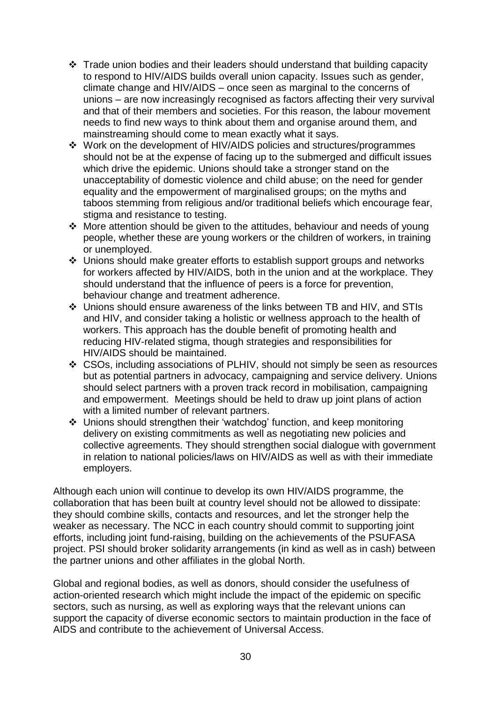- Trade union bodies and their leaders should understand that building capacity to respond to HIV/AIDS builds overall union capacity. Issues such as gender, climate change and HIV/AIDS – once seen as marginal to the concerns of unions – are now increasingly recognised as factors affecting their very survival and that of their members and societies. For this reason, the labour movement needs to find new ways to think about them and organise around them, and mainstreaming should come to mean exactly what it says.
- Work on the development of HIV/AIDS policies and structures/programmes should not be at the expense of facing up to the submerged and difficult issues which drive the epidemic. Unions should take a stronger stand on the unacceptability of domestic violence and child abuse; on the need for gender equality and the empowerment of marginalised groups; on the myths and taboos stemming from religious and/or traditional beliefs which encourage fear, stigma and resistance to testing.
- More attention should be given to the attitudes, behaviour and needs of young people, whether these are young workers or the children of workers, in training or unemployed.
- Unions should make greater efforts to establish support groups and networks for workers affected by HIV/AIDS, both in the union and at the workplace. They should understand that the influence of peers is a force for prevention, behaviour change and treatment adherence.
- Unions should ensure awareness of the links between TB and HIV, and STIs and HIV, and consider taking a holistic or wellness approach to the health of workers. This approach has the double benefit of promoting health and reducing HIV-related stigma, though strategies and responsibilities for HIV/AIDS should be maintained.
- CSOs, including associations of PLHIV, should not simply be seen as resources but as potential partners in advocacy, campaigning and service delivery. Unions should select partners with a proven track record in mobilisation, campaigning and empowerment. Meetings should be held to draw up joint plans of action with a limited number of relevant partners.
- Unions should strengthen their "watchdog" function, and keep monitoring delivery on existing commitments as well as negotiating new policies and collective agreements. They should strengthen social dialogue with government in relation to national policies/laws on HIV/AIDS as well as with their immediate employers.

Although each union will continue to develop its own HIV/AIDS programme, the collaboration that has been built at country level should not be allowed to dissipate: they should combine skills, contacts and resources, and let the stronger help the weaker as necessary. The NCC in each country should commit to supporting joint efforts, including joint fund-raising, building on the achievements of the PSUFASA project. PSI should broker solidarity arrangements (in kind as well as in cash) between the partner unions and other affiliates in the global North.

Global and regional bodies, as well as donors, should consider the usefulness of action-oriented research which might include the impact of the epidemic on specific sectors, such as nursing, as well as exploring ways that the relevant unions can support the capacity of diverse economic sectors to maintain production in the face of AIDS and contribute to the achievement of Universal Access.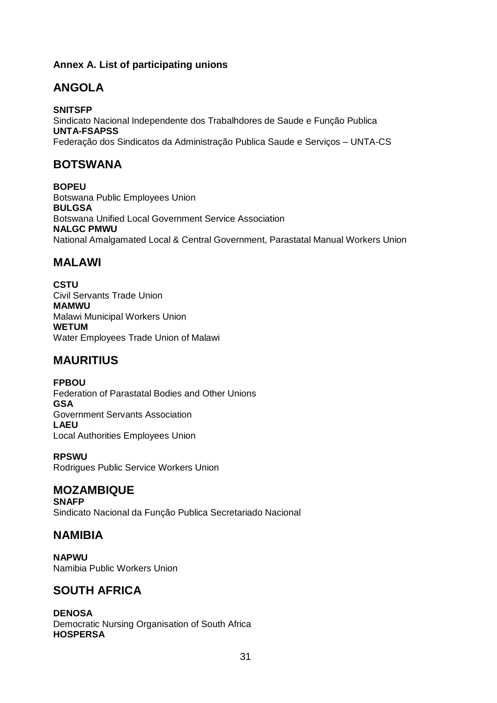## **Annex A. List of participating unions**

# **ANGOLA**

**SNITSFP** Sindicato Nacional Independente dos Trabalhdores de Saude e Função Publica **UNTA-FSAPSS** Federação dos Sindicatos da Administração Publica Saude e Serviços – UNTA-CS

# **BOTSWANA**

**BOPEU** Botswana Public Employees Union **BULGSA** Botswana Unified Local Government Service Association **NALGC PMWU** National Amalgamated Local & Central Government, Parastatal Manual Workers Union

# **MALAWI**

**CSTU** Civil Servants Trade Union **MAMWU** Malawi Municipal Workers Union **WETUM** Water Employees Trade Union of Malawi

# **MAURITIUS**

**FPBOU** Federation of Parastatal Bodies and Other Unions **GSA** Government Servants Association **LAEU** Local Authorities Employees Union

**RPSWU**  Rodrigues Public Service Workers Union

# **MOZAMBIQUE**

**SNAFP** Sindicato Nacional da Função Publica Secretariado Nacional

## **NAMIBIA**

**NAPWU** Namibia Public Workers Union

# **SOUTH AFRICA**

**DENOSA**

Democratic Nursing Organisation of South Africa **HOSPERSA**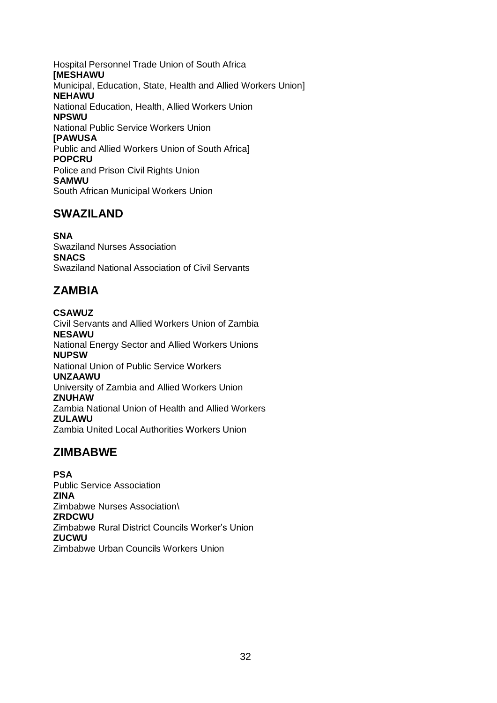Hospital Personnel Trade Union of South Africa **[MESHAWU** Municipal, Education, State, Health and Allied Workers Union] **NEHAWU** National Education, Health, Allied Workers Union **NPSWU** National Public Service Workers Union **[PAWUSA** Public and Allied Workers Union of South Africa] **POPCRU** Police and Prison Civil Rights Union **SAMWU** South African Municipal Workers Union

# **SWAZILAND**

**SNA** Swaziland Nurses Association **SNACS** Swaziland National Association of Civil Servants

# **ZAMBIA**

**CSAWUZ**  Civil Servants and Allied Workers Union of Zambia **NESAWU** National Energy Sector and Allied Workers Unions **NUPSW** National Union of Public Service Workers **UNZAAWU** University of Zambia and Allied Workers Union **ZNUHAW** Zambia National Union of Health and Allied Workers **ZULAWU** Zambia United Local Authorities Workers Union

# **ZIMBABWE**

**PSA** Public Service Association **ZINA** Zimbabwe Nurses Association\ **ZRDCWU** Zimbabwe Rural District Councils Worker"s Union **ZUCWU** Zimbabwe Urban Councils Workers Union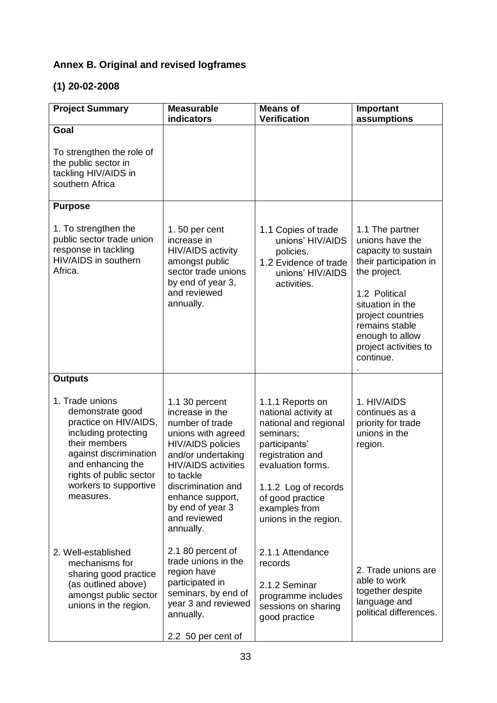# **Annex B. Original and revised logframes**

## **(1) 20-02-2008**

| <b>Project Summary</b>                                                                                                                                                                                                | <b>Measurable</b><br>indicators                                                                                                                                                                                                                                    | <b>Means of</b><br><b>Verification</b>                                                                                                                                                                                         | Important<br>assumptions                                                                                                                                                                                                                 |
|-----------------------------------------------------------------------------------------------------------------------------------------------------------------------------------------------------------------------|--------------------------------------------------------------------------------------------------------------------------------------------------------------------------------------------------------------------------------------------------------------------|--------------------------------------------------------------------------------------------------------------------------------------------------------------------------------------------------------------------------------|------------------------------------------------------------------------------------------------------------------------------------------------------------------------------------------------------------------------------------------|
| Goal<br>To strengthen the role of<br>the public sector in<br>tackling HIV/AIDS in<br>southern Africa                                                                                                                  |                                                                                                                                                                                                                                                                    |                                                                                                                                                                                                                                |                                                                                                                                                                                                                                          |
| <b>Purpose</b>                                                                                                                                                                                                        |                                                                                                                                                                                                                                                                    |                                                                                                                                                                                                                                |                                                                                                                                                                                                                                          |
| 1. To strengthen the<br>public sector trade union<br>response in tackling<br>HIV/AIDS in southern<br>Africa.                                                                                                          | 1.50 per cent<br>increase in<br><b>HIV/AIDS activity</b><br>amongst public<br>sector trade unions<br>by end of year 3,<br>and reviewed<br>annually.                                                                                                                | 1.1 Copies of trade<br>unions' HIV/AIDS<br>policies.<br>1.2 Evidence of trade<br>unions' HIV/AIDS<br>activities.                                                                                                               | 1.1 The partner<br>unions have the<br>capacity to sustain<br>their participation in<br>the project.<br>1.2 Political<br>situation in the<br>project countries<br>remains stable<br>enough to allow<br>project activities to<br>continue. |
| <b>Outputs</b>                                                                                                                                                                                                        |                                                                                                                                                                                                                                                                    |                                                                                                                                                                                                                                |                                                                                                                                                                                                                                          |
| 1. Trade unions<br>demonstrate good<br>practice on HIV/AIDS,<br>including protecting<br>their members<br>against discrimination<br>and enhancing the<br>rights of public sector<br>workers to supportive<br>measures. | 1.1 30 percent<br>increase in the<br>number of trade<br>unions with agreed<br><b>HIV/AIDS</b> policies<br>and/or undertaking<br><b>HIV/AIDS</b> activities<br>to tackle<br>discrimination and<br>enhance support,<br>by end of year 3<br>and reviewed<br>annually. | 1.1.1 Reports on<br>national activity at<br>national and regional<br>seminars;<br>participants'<br>registration and<br>evaluation forms.<br>1.1.2 Log of records<br>of good practice<br>examples from<br>unions in the region. | 1. HIV/AIDS<br>continues as a<br>priority for trade<br>unions in the<br>region.                                                                                                                                                          |
| 2. Well-established<br>mechanisms for<br>sharing good practice<br>(as outlined above)<br>amongst public sector<br>unions in the region.                                                                               | 2.1 80 percent of<br>trade unions in the<br>region have<br>participated in<br>seminars, by end of<br>year 3 and reviewed<br>annually.<br>2.2 50 per cent of                                                                                                        | 2.1.1 Attendance<br>records<br>2.1.2 Seminar<br>programme includes<br>sessions on sharing<br>good practice                                                                                                                     | 2. Trade unions are<br>able to work<br>together despite<br>language and<br>political differences.                                                                                                                                        |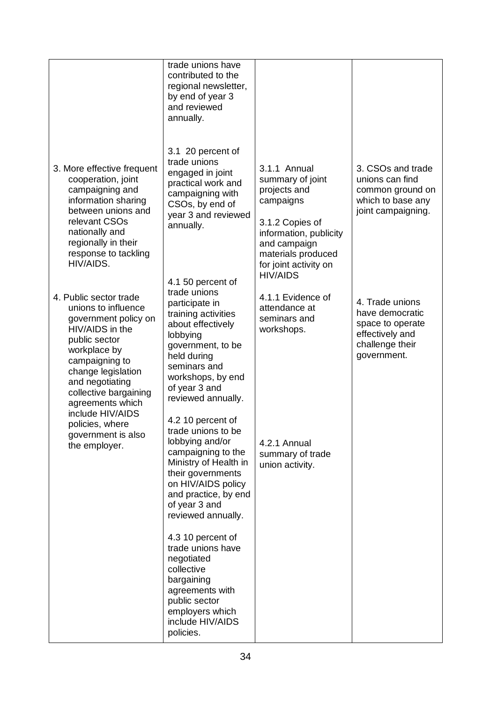|                                                                                                                                                                                                                                                                                                                 | trade unions have<br>contributed to the<br>regional newsletter,<br>by end of year 3<br>and reviewed<br>annually.                                                                                                                                                                                                                                                                    |                                                                                                                                                                                              |                                                                                                             |
|-----------------------------------------------------------------------------------------------------------------------------------------------------------------------------------------------------------------------------------------------------------------------------------------------------------------|-------------------------------------------------------------------------------------------------------------------------------------------------------------------------------------------------------------------------------------------------------------------------------------------------------------------------------------------------------------------------------------|----------------------------------------------------------------------------------------------------------------------------------------------------------------------------------------------|-------------------------------------------------------------------------------------------------------------|
| 3. More effective frequent<br>cooperation, joint<br>campaigning and<br>information sharing<br>between unions and<br>relevant CSOs<br>nationally and<br>regionally in their<br>response to tackling<br>HIV/AIDS.                                                                                                 | 3.1 20 percent of<br>trade unions<br>engaged in joint<br>practical work and<br>campaigning with<br>CSOs, by end of<br>year 3 and reviewed<br>annually.                                                                                                                                                                                                                              | 3.1.1 Annual<br>summary of joint<br>projects and<br>campaigns<br>3.1.2 Copies of<br>information, publicity<br>and campaign<br>materials produced<br>for joint activity on<br><b>HIV/AIDS</b> | 3. CSOs and trade<br>unions can find<br>common ground on<br>which to base any<br>joint campaigning.         |
| 4. Public sector trade<br>unions to influence<br>government policy on<br>HIV/AIDS in the<br>public sector<br>workplace by<br>campaigning to<br>change legislation<br>and negotiating<br>collective bargaining<br>agreements which<br>include HIV/AIDS<br>policies, where<br>government is also<br>the employer. | 4.1 50 percent of<br>trade unions<br>participate in<br>training activities<br>about effectively<br>lobbying<br>government, to be<br>held during<br>seminars and<br>workshops, by end<br>of year 3 and<br>reviewed annually.<br>4.2 10 percent of<br>trade unions to be<br>lobbying and/or<br>campaigning to the<br>Ministry of Health in<br>their governments<br>on HIV/AIDS policy | 4.1.1 Evidence of<br>attendance at<br>seminars and<br>workshops.<br>4.2.1 Annual<br>summary of trade<br>union activity.                                                                      | 4. Trade unions<br>have democratic<br>space to operate<br>effectively and<br>challenge their<br>government. |
|                                                                                                                                                                                                                                                                                                                 | and practice, by end<br>of year 3 and<br>reviewed annually.<br>4.3 10 percent of<br>trade unions have<br>negotiated<br>collective<br>bargaining<br>agreements with<br>public sector<br>employers which<br>include HIV/AIDS<br>policies.                                                                                                                                             |                                                                                                                                                                                              |                                                                                                             |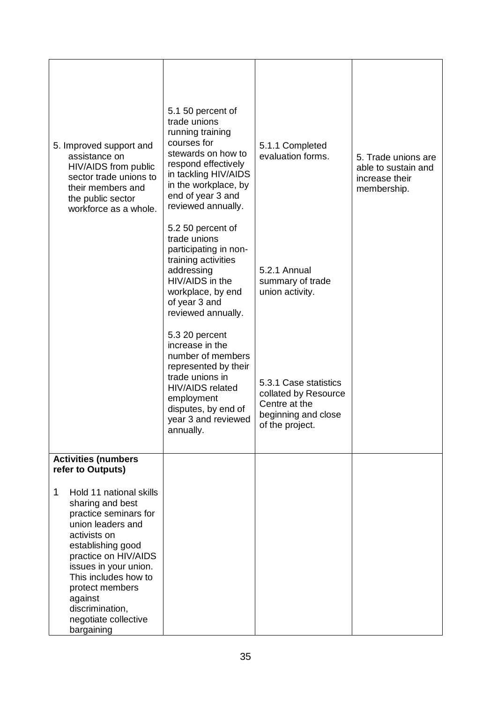| 5. Improved support and<br>assistance on<br>HIV/AIDS from public<br>sector trade unions to<br>their members and<br>the public sector<br>workforce as a whole.                                                                                                                                                            | 5.1 50 percent of<br>trade unions<br>running training<br>courses for<br>stewards on how to<br>respond effectively<br>in tackling HIV/AIDS<br>in the workplace, by<br>end of year 3 and<br>reviewed annually. | 5.1.1 Completed<br>evaluation forms.                                                                     | 5. Trade unions are<br>able to sustain and<br>increase their<br>membership. |
|--------------------------------------------------------------------------------------------------------------------------------------------------------------------------------------------------------------------------------------------------------------------------------------------------------------------------|--------------------------------------------------------------------------------------------------------------------------------------------------------------------------------------------------------------|----------------------------------------------------------------------------------------------------------|-----------------------------------------------------------------------------|
|                                                                                                                                                                                                                                                                                                                          | 5.2 50 percent of<br>trade unions<br>participating in non-<br>training activities<br>addressing<br>HIV/AIDS in the<br>workplace, by end<br>of year 3 and<br>reviewed annually.                               | 5.2.1 Annual<br>summary of trade<br>union activity.                                                      |                                                                             |
|                                                                                                                                                                                                                                                                                                                          | 5.3 20 percent<br>increase in the<br>number of members<br>represented by their<br>trade unions in<br>HIV/AIDS related<br>employment<br>disputes, by end of<br>year 3 and reviewed<br>annually.               | 5.3.1 Case statistics<br>collated by Resource<br>Centre at the<br>beginning and close<br>of the project. |                                                                             |
| <b>Activities (numbers</b>                                                                                                                                                                                                                                                                                               |                                                                                                                                                                                                              |                                                                                                          |                                                                             |
| refer to Outputs)<br>1<br>Hold 11 national skills<br>sharing and best<br>practice seminars for<br>union leaders and<br>activists on<br>establishing good<br>practice on HIV/AIDS<br>issues in your union.<br>This includes how to<br>protect members<br>against<br>discrimination,<br>negotiate collective<br>bargaining |                                                                                                                                                                                                              |                                                                                                          |                                                                             |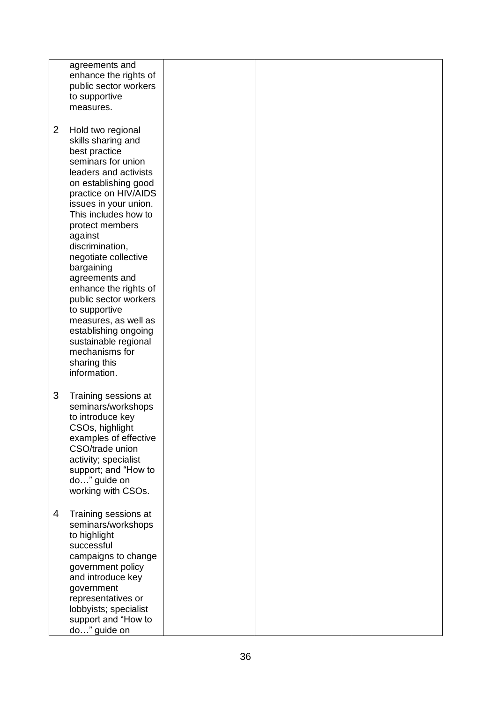|   | agreements and<br>enhance the rights of<br>public sector workers<br>to supportive<br>measures.                                                                                                                                                                                                                                                                                                                                                                                                                 |  |  |
|---|----------------------------------------------------------------------------------------------------------------------------------------------------------------------------------------------------------------------------------------------------------------------------------------------------------------------------------------------------------------------------------------------------------------------------------------------------------------------------------------------------------------|--|--|
| 2 | Hold two regional<br>skills sharing and<br>best practice<br>seminars for union<br>leaders and activists<br>on establishing good<br>practice on HIV/AIDS<br>issues in your union.<br>This includes how to<br>protect members<br>against<br>discrimination,<br>negotiate collective<br>bargaining<br>agreements and<br>enhance the rights of<br>public sector workers<br>to supportive<br>measures, as well as<br>establishing ongoing<br>sustainable regional<br>mechanisms for<br>sharing this<br>information. |  |  |
| 3 | Training sessions at<br>seminars/workshops<br>to introduce key<br>CSOs, highlight<br>examples of effective<br>CSO/trade union<br>activity; specialist<br>support; and "How to<br>do" guide on<br>working with CSOs.                                                                                                                                                                                                                                                                                            |  |  |
| 4 | Training sessions at<br>seminars/workshops<br>to highlight<br>successful<br>campaigns to change<br>government policy<br>and introduce key<br>government<br>representatives or<br>lobbyists; specialist<br>support and "How to<br>do" guide on                                                                                                                                                                                                                                                                  |  |  |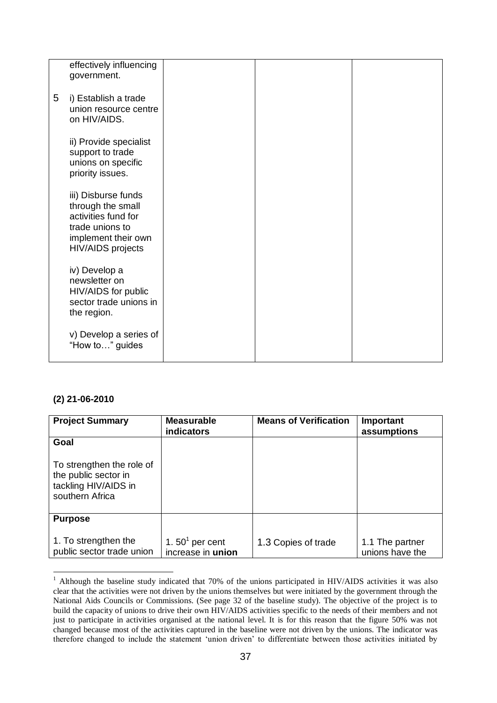|   | effectively influencing<br>government.                                                                                                |  |  |
|---|---------------------------------------------------------------------------------------------------------------------------------------|--|--|
| 5 | i) Establish a trade<br>union resource centre<br>on HIV/AIDS.                                                                         |  |  |
|   | ii) Provide specialist<br>support to trade<br>unions on specific<br>priority issues.                                                  |  |  |
|   | iii) Disburse funds<br>through the small<br>activities fund for<br>trade unions to<br>implement their own<br><b>HIV/AIDS</b> projects |  |  |
|   | iv) Develop a<br>newsletter on<br>HIV/AIDS for public<br>sector trade unions in<br>the region.                                        |  |  |
|   | v) Develop a series of<br>"How to" guides                                                                                             |  |  |

#### **(2) 21-06-2010**

 $\overline{a}$ 

| <b>Project Summary</b>                                                                       | <b>Measurable</b><br><b>indicators</b>  | <b>Means of Verification</b> | Important<br>assumptions           |
|----------------------------------------------------------------------------------------------|-----------------------------------------|------------------------------|------------------------------------|
| Goal                                                                                         |                                         |                              |                                    |
| To strengthen the role of<br>the public sector in<br>tackling HIV/AIDS in<br>southern Africa |                                         |                              |                                    |
| <b>Purpose</b>                                                                               |                                         |                              |                                    |
| 1. To strengthen the<br>public sector trade union                                            | 1.50 $^1$ per cent<br>increase in union | 1.3 Copies of trade          | 1.1 The partner<br>unions have the |

<sup>&</sup>lt;sup>1</sup> Although the baseline study indicated that 70% of the unions participated in HIV/AIDS activities it was also clear that the activities were not driven by the unions themselves but were initiated by the government through the National Aids Councils or Commissions. (See page 32 of the baseline study). The objective of the project is to build the capacity of unions to drive their own HIV/AIDS activities specific to the needs of their members and not just to participate in activities organised at the national level. It is for this reason that the figure 50% was not changed because most of the activities captured in the baseline were not driven by the unions. The indicator was therefore changed to include the statement 'union driven' to differentiate between those activities initiated by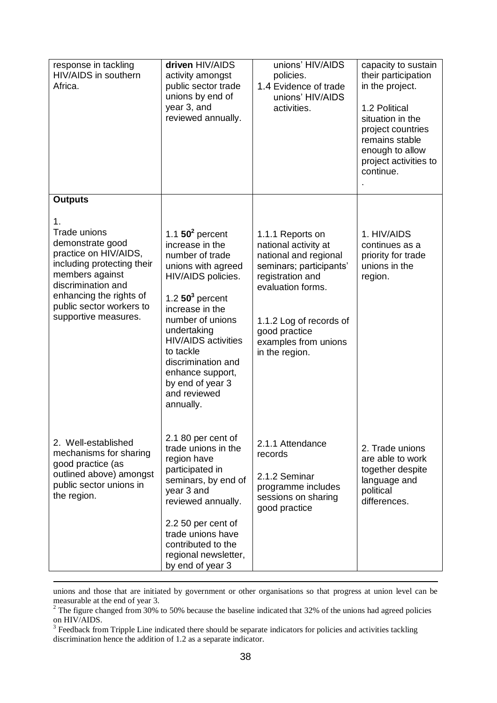| response in tackling<br>HIV/AIDS in southern<br>Africa.                                                                                                                                                                      | driven HIV/AIDS<br>activity amongst<br>public sector trade<br>unions by end of<br>year 3, and<br>reviewed annually.                                                                                                                                                                                                    | unions' HIV/AIDS<br>policies.<br>1.4 Evidence of trade<br>unions' HIV/AIDS<br>activities.                                                                                                                                   | capacity to sustain<br>their participation<br>in the project.<br>1.2 Political<br>situation in the<br>project countries<br>remains stable<br>enough to allow<br>project activities to<br>continue. |
|------------------------------------------------------------------------------------------------------------------------------------------------------------------------------------------------------------------------------|------------------------------------------------------------------------------------------------------------------------------------------------------------------------------------------------------------------------------------------------------------------------------------------------------------------------|-----------------------------------------------------------------------------------------------------------------------------------------------------------------------------------------------------------------------------|----------------------------------------------------------------------------------------------------------------------------------------------------------------------------------------------------|
| <b>Outputs</b>                                                                                                                                                                                                               |                                                                                                                                                                                                                                                                                                                        |                                                                                                                                                                                                                             |                                                                                                                                                                                                    |
| 1.<br><b>Trade unions</b><br>demonstrate good<br>practice on HIV/AIDS,<br>including protecting their<br>members against<br>discrimination and<br>enhancing the rights of<br>public sector workers to<br>supportive measures. | 1.1 $50^2$ percent<br>increase in the<br>number of trade<br>unions with agreed<br>HIV/AIDS policies.<br>1.2 $50^3$ percent<br>increase in the<br>number of unions<br>undertaking<br><b>HIV/AIDS</b> activities<br>to tackle<br>discrimination and<br>enhance support,<br>by end of year 3<br>and reviewed<br>annually. | 1.1.1 Reports on<br>national activity at<br>national and regional<br>seminars; participants'<br>registration and<br>evaluation forms.<br>1.1.2 Log of records of<br>good practice<br>examples from unions<br>in the region. | 1. HIV/AIDS<br>continues as a<br>priority for trade<br>unions in the<br>region.                                                                                                                    |
| 2. Well-established<br>mechanisms for sharing<br>good practice (as<br>outlined above) amongst<br>public sector unions in<br>the region.                                                                                      | 2.1 80 per cent of<br>trade unions in the<br>region have<br>participated in<br>seminars, by end of<br>year 3 and<br>reviewed annually.<br>2.2 50 per cent of<br>trade unions have<br>contributed to the<br>regional newsletter,<br>by end of year 3                                                                    | 2.1.1 Attendance<br>records<br>2.1.2 Seminar<br>programme includes<br>sessions on sharing<br>good practice                                                                                                                  | 2. Trade unions<br>are able to work<br>together despite<br>language and<br>political<br>differences.                                                                                               |

unions and those that are initiated by government or other organisations so that progress at union level can be measurable at the end of year 3.<br><sup>2</sup> The figure changed from 30% to 50% because the baseline indicated that 32% of the unions had agreed policies

 $\overline{a}$ 

on HIV/AIDS.

 $3$  Feedback from Tripple Line indicated there should be separate indicators for policies and activities tackling discrimination hence the addition of 1.2 as a separate indicator.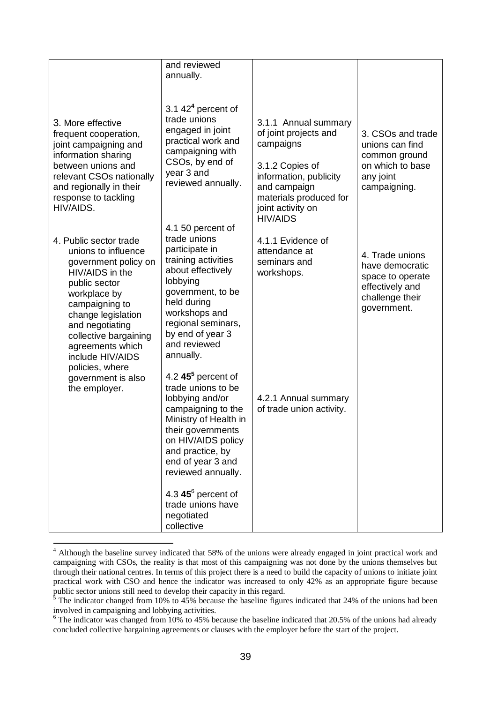|                                                                                                                                                                                                                                                       | and reviewed<br>annually.                                                                                                                                                                                              |                                                                                                                                                                                           |                                                                                                             |
|-------------------------------------------------------------------------------------------------------------------------------------------------------------------------------------------------------------------------------------------------------|------------------------------------------------------------------------------------------------------------------------------------------------------------------------------------------------------------------------|-------------------------------------------------------------------------------------------------------------------------------------------------------------------------------------------|-------------------------------------------------------------------------------------------------------------|
| 3. More effective<br>frequent cooperation,<br>joint campaigning and<br>information sharing<br>between unions and<br>relevant CSOs nationally<br>and regionally in their<br>response to tackling<br>HIV/AIDS.                                          | 3.1 $424$ percent of<br>trade unions<br>engaged in joint<br>practical work and<br>campaigning with<br>CSOs, by end of<br>year 3 and<br>reviewed annually.<br>4.1 50 percent of                                         | 3.1.1 Annual summary<br>of joint projects and<br>campaigns<br>3.1.2 Copies of<br>information, publicity<br>and campaign<br>materials produced for<br>joint activity on<br><b>HIV/AIDS</b> | 3. CSOs and trade<br>unions can find<br>common ground<br>on which to base<br>any joint<br>campaigning.      |
| 4. Public sector trade<br>unions to influence<br>government policy on<br>HIV/AIDS in the<br>public sector<br>workplace by<br>campaigning to<br>change legislation<br>and negotiating<br>collective bargaining<br>agreements which<br>include HIV/AIDS | trade unions<br>participate in<br>training activities<br>about effectively<br>lobbying<br>government, to be<br>held during<br>workshops and<br>regional seminars,<br>by end of year 3<br>and reviewed<br>annually.     | 4.1.1 Evidence of<br>attendance at<br>seminars and<br>workshops.                                                                                                                          | 4. Trade unions<br>have democratic<br>space to operate<br>effectively and<br>challenge their<br>government. |
| policies, where<br>government is also<br>the employer.                                                                                                                                                                                                | 4.2 $455$ percent of<br>trade unions to be<br>lobbying and/or<br>campaigning to the<br>Ministry of Health in<br>their governments<br>on HIV/AIDS policy<br>and practice, by<br>end of year 3 and<br>reviewed annually. | 4.2.1 Annual summary<br>of trade union activity.                                                                                                                                          |                                                                                                             |
|                                                                                                                                                                                                                                                       | 4.3 $45^{\circ}$ percent of<br>trade unions have<br>negotiated<br>collective                                                                                                                                           |                                                                                                                                                                                           |                                                                                                             |

<sup>&</sup>lt;sup>4</sup> Although the baseline survey indicated that 58% of the unions were already engaged in joint practical work and campaigning with CSOs, the reality is that most of this campaigning was not done by the unions themselves but through their national centres. In terms of this project there is a need to build the capacity of unions to initiate joint practical work with CSO and hence the indicator was increased to only 42% as an appropriate figure because public sector unions still need to develop their capacity in this regard.

 $\overline{a}$ 

The indicator changed from 10% to 45% because the baseline figures indicated that 24% of the unions had been involved in campaigning and lobbying activities.

<sup>&</sup>lt;sup>6</sup> The indicator was changed from 10% to 45% because the baseline indicated that 20.5% of the unions had already concluded collective bargaining agreements or clauses with the employer before the start of the project.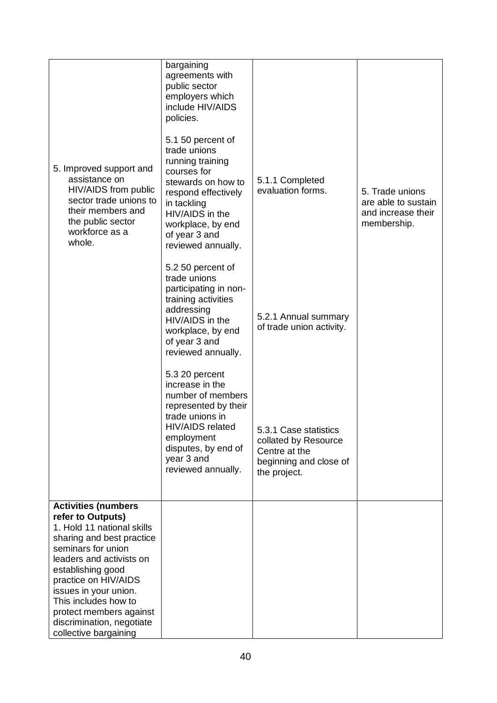| 5. Improved support and<br>assistance on<br>HIV/AIDS from public<br>sector trade unions to<br>their members and<br>the public sector<br>workforce as a<br>whole.                                                                                                                                                                            | bargaining<br>agreements with<br>public sector<br>employers which<br>include HIV/AIDS<br>policies.<br>5.1 50 percent of<br>trade unions<br>running training<br>courses for<br>stewards on how to<br>respond effectively<br>in tackling<br>HIV/AIDS in the<br>workplace, by end<br>of year 3 and<br>reviewed annually.<br>5.2 50 percent of<br>trade unions<br>participating in non-<br>training activities<br>addressing<br>HIV/AIDS in the<br>workplace, by end<br>of year 3 and<br>reviewed annually.<br>5.3 20 percent<br>increase in the<br>number of members<br>represented by their<br>trade unions in<br>HIV/AIDS related<br>employment<br>disputes, by end of<br>year 3 and<br>reviewed annually. | 5.1.1 Completed<br>evaluation forms.<br>5.2.1 Annual summary<br>of trade union activity.<br>5.3.1 Case statistics<br>collated by Resource<br>Centre at the<br>beginning and close of<br>the project. | 5. Trade unions<br>are able to sustain<br>and increase their<br>membership. |
|---------------------------------------------------------------------------------------------------------------------------------------------------------------------------------------------------------------------------------------------------------------------------------------------------------------------------------------------|-----------------------------------------------------------------------------------------------------------------------------------------------------------------------------------------------------------------------------------------------------------------------------------------------------------------------------------------------------------------------------------------------------------------------------------------------------------------------------------------------------------------------------------------------------------------------------------------------------------------------------------------------------------------------------------------------------------|------------------------------------------------------------------------------------------------------------------------------------------------------------------------------------------------------|-----------------------------------------------------------------------------|
| <b>Activities (numbers</b><br>refer to Outputs)<br>1. Hold 11 national skills<br>sharing and best practice<br>seminars for union<br>leaders and activists on<br>establishing good<br>practice on HIV/AIDS<br>issues in your union.<br>This includes how to<br>protect members against<br>discrimination, negotiate<br>collective bargaining |                                                                                                                                                                                                                                                                                                                                                                                                                                                                                                                                                                                                                                                                                                           |                                                                                                                                                                                                      |                                                                             |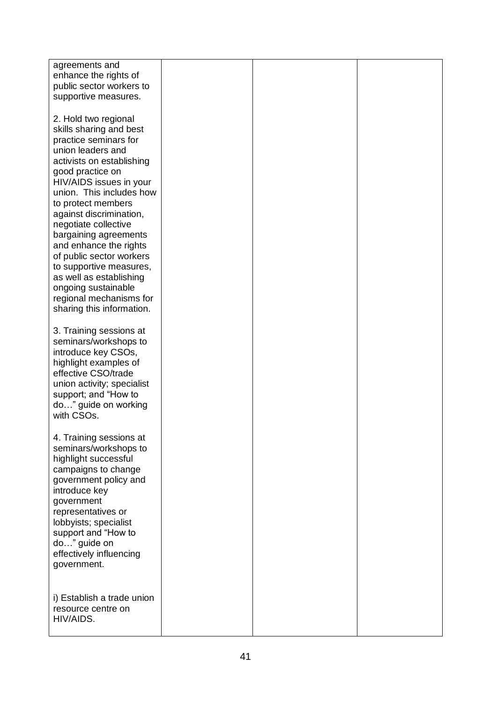| agreements and             |  |  |
|----------------------------|--|--|
| enhance the rights of      |  |  |
| public sector workers to   |  |  |
| supportive measures.       |  |  |
|                            |  |  |
| 2. Hold two regional       |  |  |
| skills sharing and best    |  |  |
| practice seminars for      |  |  |
| union leaders and          |  |  |
|                            |  |  |
| activists on establishing  |  |  |
| good practice on           |  |  |
| HIV/AIDS issues in your    |  |  |
| union. This includes how   |  |  |
| to protect members         |  |  |
| against discrimination,    |  |  |
| negotiate collective       |  |  |
| bargaining agreements      |  |  |
| and enhance the rights     |  |  |
| of public sector workers   |  |  |
| to supportive measures,    |  |  |
| as well as establishing    |  |  |
| ongoing sustainable        |  |  |
| regional mechanisms for    |  |  |
| sharing this information.  |  |  |
|                            |  |  |
| 3. Training sessions at    |  |  |
| seminars/workshops to      |  |  |
| introduce key CSOs,        |  |  |
| highlight examples of      |  |  |
| effective CSO/trade        |  |  |
| union activity; specialist |  |  |
| support; and "How to       |  |  |
| do" guide on working       |  |  |
| with CSOs.                 |  |  |
|                            |  |  |
| 4. Training sessions at    |  |  |
|                            |  |  |
| seminars/workshops to      |  |  |
| highlight successful       |  |  |
| campaigns to change        |  |  |
| government policy and      |  |  |
| introduce key              |  |  |
| government                 |  |  |
| representatives or         |  |  |
| lobbyists; specialist      |  |  |
| support and "How to        |  |  |
| do" guide on               |  |  |
| effectively influencing    |  |  |
| government.                |  |  |
|                            |  |  |
|                            |  |  |
| i) Establish a trade union |  |  |
| resource centre on         |  |  |
| HIV/AIDS.                  |  |  |
|                            |  |  |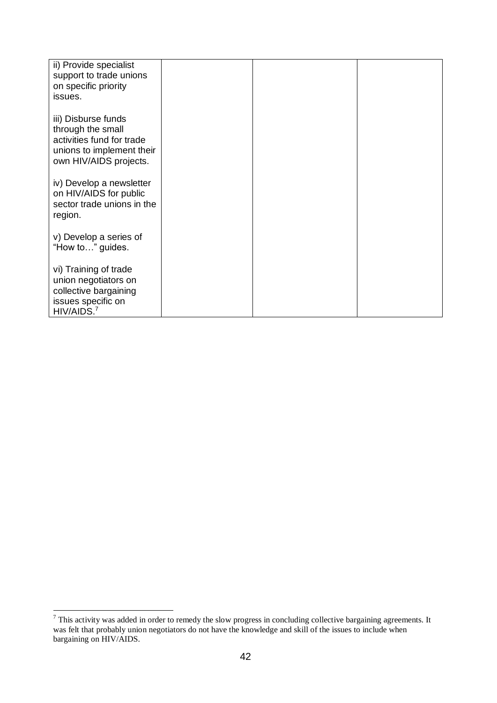| ii) Provide specialist<br>support to trade unions<br>on specific priority<br>issues.                                         |  |  |
|------------------------------------------------------------------------------------------------------------------------------|--|--|
| iii) Disburse funds<br>through the small<br>activities fund for trade<br>unions to implement their<br>own HIV/AIDS projects. |  |  |
| iv) Develop a newsletter<br>on HIV/AIDS for public<br>sector trade unions in the<br>region.                                  |  |  |
| v) Develop a series of<br>"How to" guides.                                                                                   |  |  |
| vi) Training of trade<br>union negotiators on<br>collective bargaining<br>issues specific on<br>HIV/AIDS. <sup>7</sup>       |  |  |

<sup>&</sup>lt;sup>7</sup> This activity was added in order to remedy the slow progress in concluding collective bargaining agreements. It was felt that probably union negotiators do not have the knowledge and skill of the issues to include when bargaining on HIV/AIDS.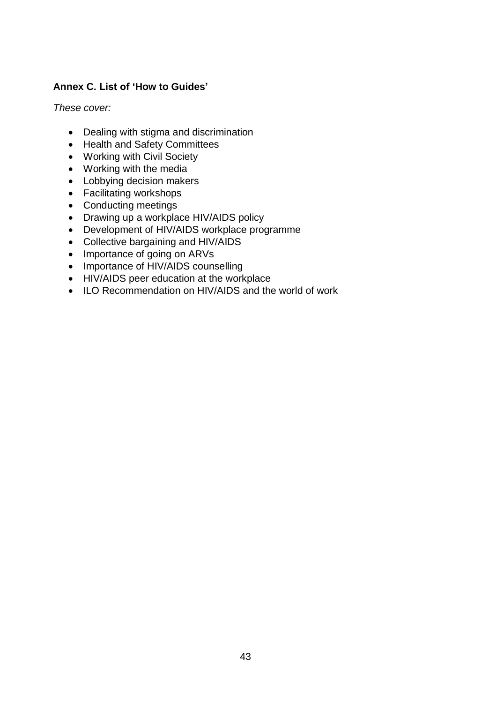## **Annex C. List of 'How to Guides'**

*These cover:*

- Dealing with stigma and discrimination
- Health and Safety Committees
- Working with Civil Society
- Working with the media
- Lobbying decision makers
- Facilitating workshops
- Conducting meetings
- Drawing up a workplace HIV/AIDS policy
- Development of HIV/AIDS workplace programme
- Collective bargaining and HIV/AIDS
- Importance of going on ARVs
- Importance of HIV/AIDS counselling
- HIV/AIDS peer education at the workplace
- ILO Recommendation on HIV/AIDS and the world of work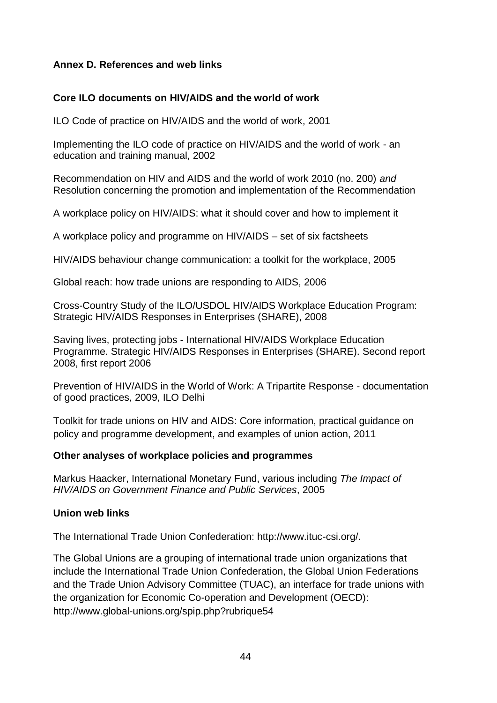### **Annex D. References and web links**

#### **Core ILO documents on HIV/AIDS and the world of work**

ILO Code of practice on HIV/AIDS and the world of work, 2001

Implementing the ILO code of practice on HIV/AIDS and the world of work - an education and training manual, 2002

Recommendation on HIV and AIDS and the world of work 2010 (no. 200) *and* Resolution concerning the promotion and implementation of the Recommendation

A workplace policy on HIV/AIDS: what it should cover and how to implement it

A workplace policy and programme on HIV/AIDS – set of six factsheets

HIV/AIDS behaviour change communication: a toolkit for the workplace, 2005

Global reach: how trade unions are responding to AIDS, 2006

Cross-Country Study of the ILO/USDOL HIV/AIDS Workplace Education Program: Strategic HIV/AIDS Responses in Enterprises (SHARE), 2008

Saving lives, protecting jobs - International HIV/AIDS Workplace Education Programme. Strategic HIV/AIDS Responses in Enterprises (SHARE). Second report 2008, first report 2006

Prevention of HIV/AIDS in the World of Work: A Tripartite Response - documentation of good practices, 2009, ILO Delhi

Toolkit for trade unions on HIV and AIDS: Core information, practical guidance on policy and programme development, and examples of union action, 2011

#### **Other analyses of workplace policies and programmes**

Markus Haacker, International Monetary Fund, various including *The Impact of HIV/AIDS on Government Finance and Public Services*, 2005

#### **Union web links**

The International Trade Union Confederation: http://www.ituc-csi.org/.

The Global Unions are a grouping of international trade union organizations that include the International Trade Union Confederation, the Global Union Federations and the Trade Union Advisory Committee (TUAC), an interface for trade unions with the organization for Economic Co-operation and Development (OECD): http://www.global-unions.org/spip.php?rubrique54